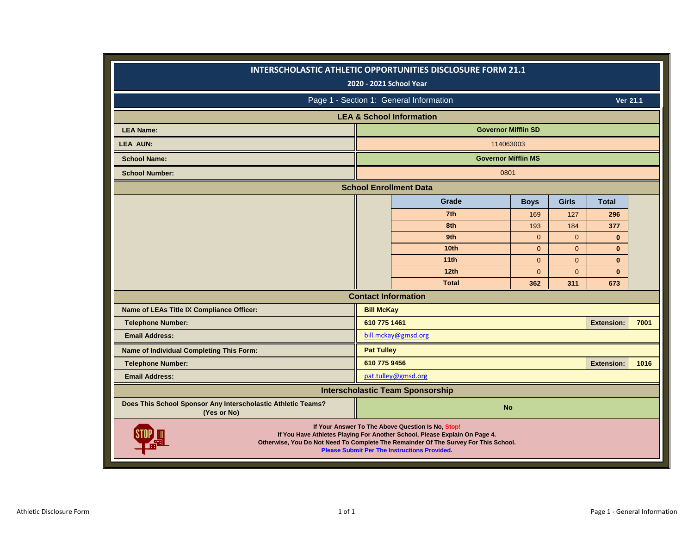|                                                                             |                   | <b>INTERSCHOLASTIC ATHLETIC OPPORTUNITIES DISCLOSURE FORM 21.1</b><br>2020 - 2021 School Year                                                                                                                                                                                 |                |                |                   |      |
|-----------------------------------------------------------------------------|-------------------|-------------------------------------------------------------------------------------------------------------------------------------------------------------------------------------------------------------------------------------------------------------------------------|----------------|----------------|-------------------|------|
|                                                                             |                   | Page 1 - Section 1: General Information                                                                                                                                                                                                                                       |                |                | Ver 21.1          |      |
|                                                                             |                   | <b>LEA &amp; School Information</b>                                                                                                                                                                                                                                           |                |                |                   |      |
| <b>LEA Name:</b>                                                            |                   | <b>Governor Mifflin SD</b>                                                                                                                                                                                                                                                    |                |                |                   |      |
| <b>LEA AUN:</b>                                                             |                   | 114063003                                                                                                                                                                                                                                                                     |                |                |                   |      |
| <b>School Name:</b>                                                         |                   | <b>Governor Mifflin MS</b>                                                                                                                                                                                                                                                    |                |                |                   |      |
| <b>School Number:</b>                                                       |                   | 0801                                                                                                                                                                                                                                                                          |                |                |                   |      |
|                                                                             |                   | <b>School Enrollment Data</b>                                                                                                                                                                                                                                                 |                |                |                   |      |
|                                                                             |                   | Grade                                                                                                                                                                                                                                                                         | <b>Boys</b>    | <b>Girls</b>   | <b>Total</b>      |      |
|                                                                             |                   | 7th                                                                                                                                                                                                                                                                           | 169            | 127            | 296               |      |
|                                                                             |                   | 8th                                                                                                                                                                                                                                                                           | 193            | 184            | 377               |      |
|                                                                             |                   | 9th                                                                                                                                                                                                                                                                           | $\overline{0}$ | $\mathbf{0}$   | $\bf{0}$          |      |
|                                                                             |                   | 10 <sub>th</sub>                                                                                                                                                                                                                                                              | $\overline{0}$ | $\mathbf{0}$   | $\mathbf{0}$      |      |
|                                                                             |                   | 11 <sub>th</sub>                                                                                                                                                                                                                                                              | $\mathbf{0}$   | $\mathbf{0}$   | $\mathbf{0}$      |      |
|                                                                             |                   | 12th                                                                                                                                                                                                                                                                          | $\overline{0}$ | $\overline{0}$ | $\mathbf{0}$      |      |
|                                                                             |                   | <b>Total</b>                                                                                                                                                                                                                                                                  | 362            | 311            | 673               |      |
|                                                                             |                   | <b>Contact Information</b>                                                                                                                                                                                                                                                    |                |                |                   |      |
| Name of LEAs Title IX Compliance Officer:                                   | <b>Bill McKay</b> |                                                                                                                                                                                                                                                                               |                |                |                   |      |
| <b>Telephone Number:</b>                                                    | 610 775 1461      |                                                                                                                                                                                                                                                                               |                |                | <b>Extension:</b> | 7001 |
| <b>Email Address:</b>                                                       |                   | bill.mckay@gmsd.org                                                                                                                                                                                                                                                           |                |                |                   |      |
| Name of Individual Completing This Form:                                    | <b>Pat Tulley</b> |                                                                                                                                                                                                                                                                               |                |                |                   |      |
| <b>Telephone Number:</b>                                                    | 610 775 9456      |                                                                                                                                                                                                                                                                               |                |                | <b>Extension:</b> | 1016 |
| <b>Email Address:</b>                                                       |                   | pat.tulley@gmsd.org                                                                                                                                                                                                                                                           |                |                |                   |      |
|                                                                             |                   | <b>Interscholastic Team Sponsorship</b>                                                                                                                                                                                                                                       |                |                |                   |      |
| Does This School Sponsor Any Interscholastic Athletic Teams?<br>(Yes or No) |                   | <b>No</b>                                                                                                                                                                                                                                                                     |                |                |                   |      |
|                                                                             |                   | If Your Answer To The Above Question Is No, Stop!<br>If You Have Athletes Playing For Another School, Please Explain On Page 4.<br>Otherwise, You Do Not Need To Complete The Remainder Of The Survey For This School.<br><b>Please Submit Per The Instructions Provided.</b> |                |                |                   |      |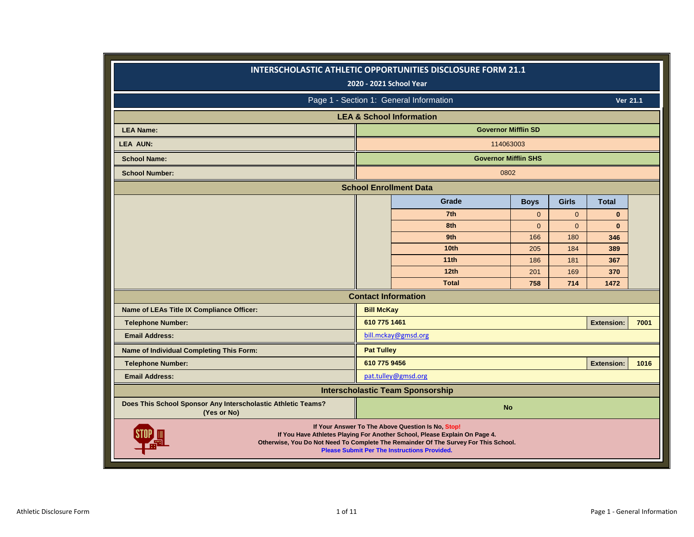|                                                                             |                   | <b>INTERSCHOLASTIC ATHLETIC OPPORTUNITIES DISCLOSURE FORM 21.1</b><br>2020 - 2021 School Year                                                                                                                                                                                 |              |                |                   |      |
|-----------------------------------------------------------------------------|-------------------|-------------------------------------------------------------------------------------------------------------------------------------------------------------------------------------------------------------------------------------------------------------------------------|--------------|----------------|-------------------|------|
|                                                                             |                   | Page 1 - Section 1: General Information                                                                                                                                                                                                                                       |              |                | Ver 21.1          |      |
|                                                                             |                   | <b>LEA &amp; School Information</b>                                                                                                                                                                                                                                           |              |                |                   |      |
| <b>LEA Name:</b>                                                            |                   | <b>Governor Mifflin SD</b>                                                                                                                                                                                                                                                    |              |                |                   |      |
| <b>LEA AUN:</b>                                                             |                   | 114063003                                                                                                                                                                                                                                                                     |              |                |                   |      |
| <b>School Name:</b>                                                         |                   | <b>Governor Mifflin SHS</b>                                                                                                                                                                                                                                                   |              |                |                   |      |
| <b>School Number:</b>                                                       |                   | 0802                                                                                                                                                                                                                                                                          |              |                |                   |      |
|                                                                             |                   | <b>School Enrollment Data</b>                                                                                                                                                                                                                                                 |              |                |                   |      |
|                                                                             |                   | Grade                                                                                                                                                                                                                                                                         | <b>Boys</b>  | <b>Girls</b>   | <b>Total</b>      |      |
|                                                                             |                   | 7th                                                                                                                                                                                                                                                                           | $\mathbf{0}$ | $\overline{0}$ | $\bf{0}$          |      |
|                                                                             |                   | 8th                                                                                                                                                                                                                                                                           | $\Omega$     | $\overline{0}$ | $\mathbf{0}$      |      |
|                                                                             |                   | 9th                                                                                                                                                                                                                                                                           | 166          | 180            | 346               |      |
|                                                                             |                   | 10 <sub>th</sub>                                                                                                                                                                                                                                                              | 205          | 184            | 389               |      |
|                                                                             |                   | 11th                                                                                                                                                                                                                                                                          | 186          | 181            | 367               |      |
|                                                                             |                   | 12 <sub>th</sub>                                                                                                                                                                                                                                                              | 201          | 169            | 370               |      |
|                                                                             |                   | <b>Total</b>                                                                                                                                                                                                                                                                  | 758          | 714            | 1472              |      |
|                                                                             |                   | <b>Contact Information</b>                                                                                                                                                                                                                                                    |              |                |                   |      |
| Name of LEAs Title IX Compliance Officer:                                   | <b>Bill McKay</b> |                                                                                                                                                                                                                                                                               |              |                |                   |      |
| <b>Telephone Number:</b>                                                    | 610 775 1461      |                                                                                                                                                                                                                                                                               |              |                | <b>Extension:</b> | 7001 |
| <b>Email Address:</b>                                                       |                   | bill.mckay@gmsd.org                                                                                                                                                                                                                                                           |              |                |                   |      |
| Name of Individual Completing This Form:                                    | <b>Pat Tulley</b> |                                                                                                                                                                                                                                                                               |              |                |                   |      |
| <b>Telephone Number:</b>                                                    | 610 775 9456      |                                                                                                                                                                                                                                                                               |              |                | <b>Extension:</b> | 1016 |
| <b>Email Address:</b>                                                       |                   | pat.tulley@gmsd.org                                                                                                                                                                                                                                                           |              |                |                   |      |
|                                                                             |                   | <b>Interscholastic Team Sponsorship</b>                                                                                                                                                                                                                                       |              |                |                   |      |
| Does This School Sponsor Any Interscholastic Athletic Teams?<br>(Yes or No) |                   | <b>No</b>                                                                                                                                                                                                                                                                     |              |                |                   |      |
|                                                                             |                   | If Your Answer To The Above Question Is No, Stop!<br>If You Have Athletes Playing For Another School, Please Explain On Page 4.<br>Otherwise, You Do Not Need To Complete The Remainder Of The Survey For This School.<br><b>Please Submit Per The Instructions Provided.</b> |              |                |                   |      |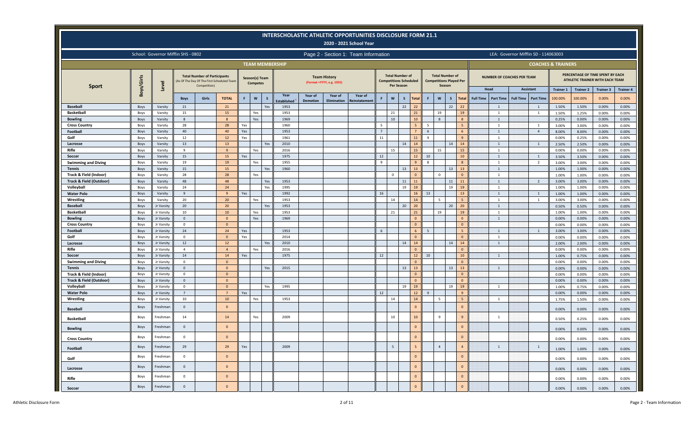|                                    |              |                                     |                |                                                                                                   |                    |     |                                   |     |                        |                            |                                                   | <b>INTERSCHOLASTIC ATHLETIC OPPORTUNITIES DISCLOSURE FORM 21.1</b><br>2020 - 2021 School Year |    |                   |                                                         |                     |    |                |                                                          |                |                                      |                                                       |                               |                  |                                                                                         |                  |
|------------------------------------|--------------|-------------------------------------|----------------|---------------------------------------------------------------------------------------------------|--------------------|-----|-----------------------------------|-----|------------------------|----------------------------|---------------------------------------------------|-----------------------------------------------------------------------------------------------|----|-------------------|---------------------------------------------------------|---------------------|----|----------------|----------------------------------------------------------|----------------|--------------------------------------|-------------------------------------------------------|-------------------------------|------------------|-----------------------------------------------------------------------------------------|------------------|
|                                    |              | School: Governor Mifflin SHS - 0802 |                |                                                                                                   |                    |     |                                   |     |                        |                            |                                                   | Page 2 - Section 1: Team Information                                                          |    |                   |                                                         |                     |    |                |                                                          |                |                                      | LEA: Governor Mifflin SD - 114063003                  |                               |                  |                                                                                         |                  |
|                                    |              |                                     |                |                                                                                                   |                    |     |                                   |     | <b>TEAM MEMBERSHIP</b> |                            |                                                   |                                                                                               |    |                   |                                                         |                     |    |                |                                                          |                |                                      |                                                       | <b>COACHES &amp; TRAINERS</b> |                  |                                                                                         |                  |
| <b>Sport</b>                       | Boys/Girls   | Level                               |                | <b>Total Number of Participants</b><br>(As Of The Day Of The First Scheduled Team<br>Competition) |                    |     | Season(s) Team<br><b>Competes</b> |     |                        |                            | <b>Team History</b><br>(Format = YYYY, e.g. 1955) |                                                                                               |    | <b>Per Season</b> | <b>Total Number of</b><br><b>Competitions Scheduled</b> |                     |    | Season         | <b>Total Number of</b><br><b>Competitions Played Per</b> |                | Head                                 | <b>NUMBER OF COACHES PER TEAM</b><br><b>Assistant</b> | <b>Trainer 1</b>              | <b>Trainer 2</b> | PERCENTAGE OF TIME SPENT BY EACH<br>ATHLETIC TRAINER WITH EACH TEAM<br><b>Trainer 3</b> | <b>Trainer 4</b> |
|                                    |              |                                     | <b>Boys</b>    | Girls                                                                                             | <b>TOTAL</b>       | F   | $\mathsf{w}$                      | S   | Year<br>Established    | Year of<br><b>Demotion</b> | Year of<br><b>Elimination</b>                     | Year of<br>Reinstatement                                                                      | F  | $\mathsf{w}$      | $\mathsf{s}$                                            | <b>Total</b>        | F  | $\mathbf{w}$   | $\mathsf{s}$                                             | <b>Total</b>   | <b>Full Time</b><br><b>Part Time</b> | <b>Part Time</b><br><b>Full Time</b>                  | 100.00%                       | 100.00%          | 0.00%                                                                                   | 0.00%            |
| <b>Baseball</b>                    | Boys         | Varsity                             | 21             |                                                                                                   | 21                 |     |                                   | Yes | 1953                   |                            |                                                   |                                                                                               |    |                   | 22                                                      | 22                  |    |                | 22                                                       | 22             | $\overline{1}$                       | $\overline{1}$                                        | 1.50%                         | 1.50%            | 0.00%                                                                                   | 0.00%            |
| <b>Basketball</b>                  | Boys         | Varsity                             | 15             |                                                                                                   | 15                 |     | Yes                               |     | 1953                   |                            |                                                   |                                                                                               |    | 21                |                                                         | 21                  |    | 19             |                                                          | 19             | <sup>1</sup>                         | 1                                                     | 1.50%                         | 1.25%            | 0.00%                                                                                   | 0.00%            |
| <b>Bowling</b>                     | Boys         | Varsity                             | 8              |                                                                                                   |                    |     | Yes                               |     | 1969                   |                            |                                                   |                                                                                               |    | 10 <sup>10</sup>  |                                                         | 10 <sub>1</sub>     |    | 8              |                                                          |                | $\overline{1}$                       |                                                       | 0.25%                         | 0.00%            | 0.00%                                                                                   | 0.00%            |
| <b>Cross Country</b>               | Boys         | Varsity                             | 28             |                                                                                                   | 28                 | Yes |                                   |     | 1960                   |                            |                                                   |                                                                                               | 5  |                   |                                                         | 5                   | -5 |                |                                                          |                | 1                                    | 1                                                     | 3.00%                         | 3.00%            | 0.00%                                                                                   | 0.00%            |
| Football                           | Boys         | Varsity                             | 40             |                                                                                                   | 40                 | Yes |                                   |     | 1953                   |                            |                                                   |                                                                                               |    |                   |                                                         |                     | 6  |                |                                                          |                | $\overline{1}$                       | $\overline{4}$                                        | 8.00%                         | 8.00%            | 0.00%                                                                                   | 0.00%            |
| Golf                               | Boys         | Varsity                             | 12             |                                                                                                   | 12                 | Yes |                                   |     | 1961                   |                            |                                                   |                                                                                               | 11 |                   |                                                         | 11                  | q  |                |                                                          |                | $\overline{1}$                       |                                                       | 0.00%                         | 0.25%            | 0.00%                                                                                   | 0.00%            |
| Lacrosse                           | Boys         | Varsity                             | 13             |                                                                                                   | 13                 |     |                                   | Yes | 2010                   |                            |                                                   |                                                                                               |    |                   | 14                                                      | 14                  |    |                | 14                                                       | 14             | $\overline{1}$                       | $\overline{1}$                                        | 2.50%                         | 2.50%            | 0.00%                                                                                   | 0.00%            |
| Rifle                              | Boys         | Varsity                             | -9             |                                                                                                   | 9                  |     | Yes                               |     | 2016                   |                            |                                                   |                                                                                               |    | 15                |                                                         | 15                  |    | 15             |                                                          | 15             | $\overline{1}$                       |                                                       | 0.00%                         | 0.00%            | 0.00%                                                                                   | 0.00%            |
| Soccer                             | Boys         | Varsity                             | 15             |                                                                                                   | 15                 | Yes |                                   |     | 1975                   |                            |                                                   |                                                                                               | 12 |                   |                                                         | 12                  | 10 |                |                                                          | 10             | $\overline{1}$                       | $\overline{1}$                                        | 3.50%                         | 3.50%            | 0.00%                                                                                   | 0.00%            |
| <b>Swimming and Diving</b>         | Boys         | Varsity                             | 19             |                                                                                                   | 19                 |     | Yes                               |     | 1955                   |                            |                                                   |                                                                                               | 9  |                   |                                                         | 9                   | -8 |                |                                                          | 8              | $\overline{1}$                       | $\overline{2}$                                        | 3.00%                         | 3.00%            | 0.00%                                                                                   | 0.00%            |
| <b>Tennis</b>                      | Boys         | Varsity                             | 15             |                                                                                                   | 15                 |     |                                   | Yes | 1960                   |                            |                                                   |                                                                                               |    |                   | 13                                                      | 13                  |    |                | 13                                                       | 13             | $\overline{1}$                       |                                                       | 1.00%                         | 1.00%            | 0.00%                                                                                   | 0.00%            |
| Track & Field (Indoor)             | Boys         | Varsity                             | 28             |                                                                                                   | 28                 |     | Yes                               |     |                        |                            |                                                   |                                                                                               |    | $\Omega$          |                                                         | $\Omega$            |    | $\Omega$       |                                                          | $\Omega$       | $\overline{1}$                       |                                                       | 1.00%                         | 1.00%            | 0.00%                                                                                   | 0.00%            |
| <b>Track &amp; Field (Outdoor)</b> | Boys         | Varsity                             | 48             |                                                                                                   | 48                 |     |                                   | Yes | 1953                   |                            |                                                   |                                                                                               |    |                   | 11                                                      | 11                  |    |                | 11                                                       | 11             | $\overline{1}$                       | $\overline{2}$                                        | 3.00%                         | 3.00%            | 0.00%                                                                                   | 0.00%            |
| Volleyball<br><b>Water Polo</b>    | Boys         | Varsity<br>Varsity                  | 24<br>9        |                                                                                                   | 24<br>$\mathbf{q}$ | Yes |                                   | Yes | 1995<br>1992           |                            |                                                   |                                                                                               | 16 |                   | 19                                                      | 19                  | 13 |                | 19                                                       | 19<br>13       | <sup>1</sup><br>$\overline{1}$       | $\overline{1}$                                        | 1.00%                         | 1.00%            | 0.00%                                                                                   | 0.00%            |
| Wrestling                          | Boys<br>Boys | Varsity                             | 20             |                                                                                                   | 20                 |     | Yes                               |     | 1953                   |                            |                                                   |                                                                                               |    | 14                |                                                         | 16<br>14            |    | 5              |                                                          |                | $\overline{1}$                       | $\overline{1}$                                        | 1.00%<br>3.00%                | 1.00%<br>3.00%   | 0.00%<br>0.00%                                                                          | 0.00%<br>0.00%   |
| <b>Baseball</b>                    | Boys         | Jr Varsity                          | 20             |                                                                                                   | 20                 |     |                                   | Yes | 1953                   |                            |                                                   |                                                                                               |    |                   | 20                                                      | 20                  |    |                | 20                                                       | 20             | $\overline{1}$                       |                                                       | 0.50%                         | 0.50%            | 0.00%                                                                                   | 0.00%            |
| <b>Basketball</b>                  | Boys         | Jr Varsity                          | 10             |                                                                                                   | 10                 |     | Yes                               |     | 1953                   |                            |                                                   |                                                                                               |    | 21                |                                                         | 21                  |    | 19             |                                                          | 19             | $\overline{1}$                       |                                                       | 1.00%                         | 1.00%            | 0.00%                                                                                   | 0.00%            |
| <b>Bowling</b>                     | Boys         | Jr Varsity                          | $\mathbf{0}$   |                                                                                                   | $\Omega$           |     | Yes                               |     | 1969                   |                            |                                                   |                                                                                               |    |                   |                                                         | $\mathbf{0}$        |    |                |                                                          | $\Omega$       | $\mathbf{1}$                         |                                                       | 0.00%                         | 0.00%            | 0.00%                                                                                   | 0.00%            |
| <b>Cross Country</b>               | Boys         | Jr Varsity                          | $\overline{0}$ |                                                                                                   | $\Omega$           |     |                                   |     |                        |                            |                                                   |                                                                                               |    |                   |                                                         | $\Omega$            |    |                |                                                          | $\Omega$       |                                      |                                                       | 0.00%                         | 0.00%            | 0.00%                                                                                   | 0.00%            |
| Football                           | Boys         | Jr Varsity                          | 24             |                                                                                                   | 24                 | Yes |                                   |     | 1953                   |                            |                                                   |                                                                                               | -6 |                   |                                                         | 6                   | 5  |                |                                                          |                | $\overline{1}$                       | $\overline{1}$                                        | 3.00%                         | 3.00%            | 0.00%                                                                                   | 0.00%            |
| Golf                               | Boys         | Jr Varsity                          | $^{\circ}$     |                                                                                                   | $\Omega$           | Yes |                                   |     | 2014                   |                            |                                                   |                                                                                               |    |                   |                                                         | $\mathbf{0}$        |    |                |                                                          | $\Omega$       | $\overline{1}$                       |                                                       | 0.00%                         | 0.00%            | 0.00%                                                                                   | 0.00%            |
| Lacrosse                           | Boys         | Jr Varsity                          | 12             |                                                                                                   | 12                 |     |                                   | Yes | 2010                   |                            |                                                   |                                                                                               |    |                   | 14                                                      | 14                  |    |                | 14                                                       | 14             | 1                                    |                                                       | 2.00%                         | 2.00%            | 0.00%                                                                                   | 0.00%            |
| Rifle                              | Boys         | Jr Varsity                          | $\overline{4}$ |                                                                                                   | $\overline{4}$     |     | Yes                               |     | 2016                   |                            |                                                   |                                                                                               |    |                   |                                                         | $\Omega$            |    |                |                                                          | $\Omega$       |                                      |                                                       | 0.00%                         | 0.00%            | 0.00%                                                                                   | 0.00%            |
| Soccer                             | Boys         | Jr Varsity                          | 14             |                                                                                                   | 14                 | Yes |                                   |     | 1975                   |                            |                                                   |                                                                                               | 12 |                   |                                                         | 12                  | 10 |                |                                                          | 10             | $\overline{1}$                       |                                                       | 1.00%                         | 0.75%            | 0.00%                                                                                   | 0.00%            |
| <b>Swimming and Diving</b>         | Boys         | Jr Varsity                          | $^{\circ}$     |                                                                                                   | $\Omega$           |     |                                   |     |                        |                            |                                                   |                                                                                               |    |                   |                                                         | $\Omega$            |    |                |                                                          | $\Omega$       |                                      |                                                       | 0.00%                         | 0.00%            | 0.00%                                                                                   | 0.00%            |
| <b>Tennis</b>                      | Boys         | Jr Varsity                          | $\mathbf{0}$   |                                                                                                   | $\Omega$           |     |                                   | Yes | 2015                   |                            |                                                   |                                                                                               |    |                   | 13                                                      | 13                  |    |                | 13                                                       | 13             | $\mathbf{1}$                         |                                                       | 0.00%                         | 0.00%            | 0.00%                                                                                   | 0.00%            |
| Track & Field (Indoor)             | Boys         | Jr Varsity                          | $^{\circ}$     |                                                                                                   | $\Omega$           |     |                                   |     |                        |                            |                                                   |                                                                                               |    |                   |                                                         | $\mathbf{0}$        |    |                |                                                          | $\Omega$       |                                      |                                                       | 0.00%                         | 0.00%            | 0.00%                                                                                   | 0.00%            |
| <b>Track &amp; Field (Outdoor)</b> | Boys         | Jr Varsity                          | $\mathbf{0}$   |                                                                                                   | $\Omega$           |     |                                   |     |                        |                            |                                                   |                                                                                               |    |                   |                                                         | $\Omega$            |    |                |                                                          | $\Omega$       |                                      |                                                       | 0.00%                         | 0.00%            | 0.00%                                                                                   | 0.00%            |
| Volleyball                         | Boys         | Jr Varsity                          | $^{\circ}$     |                                                                                                   | $\Omega$           |     |                                   | Yes | 1995                   |                            |                                                   |                                                                                               |    |                   | 19                                                      | 19                  |    |                | 19                                                       | 19             | $\mathbf{1}$                         |                                                       | 1.00%                         | 0.75%            | 0.00%                                                                                   | 0.00%            |
| <b>Water Polo</b>                  | Boys         | Jr Varsity                          | $\overline{7}$ |                                                                                                   |                    | Yes |                                   |     |                        |                            |                                                   |                                                                                               | 12 |                   |                                                         | 12                  | 9  |                |                                                          |                |                                      |                                                       | 0.00%                         | 0.00%            | 0.00%                                                                                   | 0.00%            |
| Wrestling                          | Boys         | Jr Varsity                          | 10             |                                                                                                   | 10                 |     | Yes                               |     | 1953                   |                            |                                                   |                                                                                               |    | 14                |                                                         | 14                  |    | 5              |                                                          | $\overline{5}$ | $\mathbf{1}$                         |                                                       | 1.75%                         | 1.50%            | 0.00%                                                                                   | 0.00%            |
| <b>Baseball</b>                    | <b>Boys</b>  | Freshman                            | $\mathbf{0}$   |                                                                                                   | $\Omega$           |     |                                   |     |                        |                            |                                                   |                                                                                               |    |                   |                                                         | $\mathbf{0}$        |    |                |                                                          | $\mathbf{0}$   |                                      |                                                       | 0.00%                         | 0.00%            | 0.00%                                                                                   | 0.00%            |
| <b>Basketball</b>                  | Boys         | Freshman                            | 14             |                                                                                                   | 14                 |     | Yes                               |     | 2009                   |                            |                                                   |                                                                                               |    | 10                |                                                         | 10 <sup>°</sup>     |    | 9              |                                                          | 9              | 1                                    |                                                       | 0.50%                         | 0.25%            | 0.00%                                                                                   | 0.00%            |
| <b>Bowling</b>                     | Boys         | Freshman                            | $\mathbf{0}$   |                                                                                                   | $\Omega$           |     |                                   |     |                        |                            |                                                   |                                                                                               |    |                   |                                                         | $\mathbf 0$         |    |                |                                                          | $\mathbf{0}$   |                                      |                                                       | 0.00%                         | 0.00%            | 0.00%                                                                                   | 0.00%            |
| <b>Cross Country</b>               | Boys         | Freshman                            | 0              |                                                                                                   | $\mathbf{0}$       |     |                                   |     |                        |                            |                                                   |                                                                                               |    |                   |                                                         | $\mathbf 0$         |    |                |                                                          | 0              |                                      |                                                       | 0.00%                         | 0.00%            | 0.00%                                                                                   | 0.00%            |
| Football                           | Boys         | Freshman                            | 29             |                                                                                                   | 29                 | Yes |                                   |     | 2009                   |                            |                                                   |                                                                                               |    | $5\overline{5}$   |                                                         | 5 <sub>5</sub>      |    | $\overline{4}$ |                                                          | $\overline{4}$ | $\mathbf{1}$                         | 1                                                     | 1.00%                         | 1.00%            | 0.00%                                                                                   | 0.00%            |
| Golf                               | Boys         | Freshman                            | $\mathsf 0$    |                                                                                                   | $\mathbf{0}$       |     |                                   |     |                        |                            |                                                   |                                                                                               |    |                   |                                                         | $\mathbf{0}$        |    |                |                                                          | $\mathbf{0}$   |                                      |                                                       | 0.00%                         | 0.00%            | 0.00%                                                                                   | 0.00%            |
| Lacrosse                           | Boys         | Freshman                            | $\overline{0}$ |                                                                                                   | $\mathbf{0}$       |     |                                   |     |                        |                            |                                                   |                                                                                               |    |                   |                                                         | $\mathsf{O}\xspace$ |    |                |                                                          | $\mathbf{0}$   |                                      |                                                       | 0.00%                         | 0.00%            | 0.00%                                                                                   | 0.00%            |
| Rifle                              | Boys         | Freshman                            | $\mathbf 0$    |                                                                                                   | $\mathbf{0}$       |     |                                   |     |                        |                            |                                                   |                                                                                               |    |                   |                                                         | $\mathbf 0$         |    |                |                                                          | $\mathbf{0}$   |                                      |                                                       | 0.00%                         | 0.00%            | 0.00%                                                                                   | 0.00%            |
| Soccer                             | Boys         | Freshman                            | $\overline{0}$ |                                                                                                   | $\overline{0}$     |     |                                   |     |                        |                            |                                                   |                                                                                               |    |                   |                                                         | $\mathbf 0$         |    |                |                                                          | $\mathbf 0$    |                                      |                                                       | 0.00%                         | 0.00%            | 0.00%                                                                                   | 0.00%            |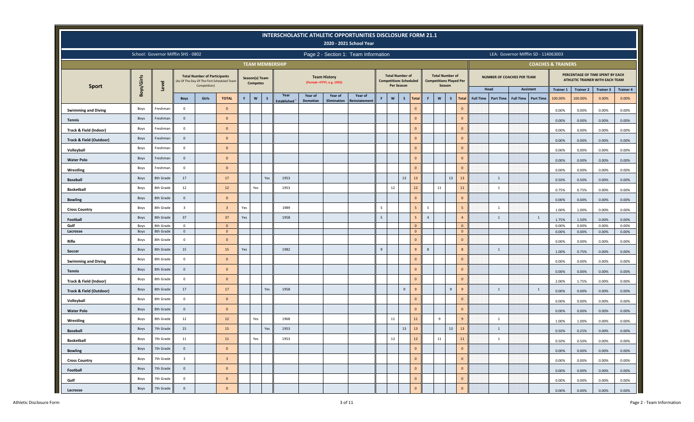|                                    |              |                                     |                         |                                                     |                                            |             |                                   |              |                        |                 |                                                   | INTERSCHOLASTIC ATHLETIC OPPORTUNITIES DISCLOSURE FORM 21.1<br>2020 - 2021 School Year |                 |                           |                                                         |                                  |                |                                                                    |                |                              |                            |                  |                                      |                               |                  |                                                                     |                  |
|------------------------------------|--------------|-------------------------------------|-------------------------|-----------------------------------------------------|--------------------------------------------|-------------|-----------------------------------|--------------|------------------------|-----------------|---------------------------------------------------|----------------------------------------------------------------------------------------|-----------------|---------------------------|---------------------------------------------------------|----------------------------------|----------------|--------------------------------------------------------------------|----------------|------------------------------|----------------------------|------------------|--------------------------------------|-------------------------------|------------------|---------------------------------------------------------------------|------------------|
|                                    |              | School: Governor Mifflin SHS - 0802 |                         |                                                     |                                            |             |                                   |              |                        |                 |                                                   | Page 2 - Section 1: Team Information                                                   |                 |                           |                                                         |                                  |                |                                                                    |                |                              |                            |                  | LEA: Governor Mifflin SD - 114063003 |                               |                  |                                                                     |                  |
|                                    |              |                                     |                         |                                                     |                                            |             |                                   |              | <b>TEAM MEMBERSHIP</b> |                 |                                                   |                                                                                        |                 |                           |                                                         |                                  |                |                                                                    |                |                              |                            |                  |                                      | <b>COACHES &amp; TRAINERS</b> |                  |                                                                     |                  |
| <b>Sport</b>                       | Boys/Girls   | Level                               |                         | <b>Total Number of Participants</b><br>Competition) | (As Of The Day Of The First Scheduled Team |             | Season(s) Team<br><b>Competes</b> |              |                        |                 | <b>Team History</b><br>(Format = YYYY, e.g. 1955) |                                                                                        |                 | Per Season                | <b>Total Number of</b><br><b>Competitions Scheduled</b> |                                  |                | <b>Total Number of</b><br><b>Competitions Played Per</b><br>Season |                |                              | NUMBER OF COACHES PER TEAM |                  |                                      |                               |                  | PERCENTAGE OF TIME SPENT BY EACH<br>ATHLETIC TRAINER WITH EACH TEAM |                  |
|                                    |              |                                     |                         |                                                     |                                            |             |                                   |              | Year                   | Year of         | Year of                                           | Year of                                                                                |                 |                           |                                                         |                                  |                |                                                                    |                |                              | Head                       |                  | Assistant                            | <b>Trainer 1</b>              | <b>Trainer 2</b> | <b>Trainer 3</b>                                                    | <b>Trainer 4</b> |
|                                    |              |                                     | <b>Boys</b>             | Girls                                               | <b>TOTAL</b>                               | $\mathsf F$ | $\mathbf{w}$                      | $\mathsf{s}$ | <b>Established</b>     | <b>Demotion</b> | <b>Elimination</b>                                | Reinstatement                                                                          | F               | $\boldsymbol{\mathsf{w}}$ | $\mathsf{s}$                                            | <b>Total</b>                     | F              | $\boldsymbol{\mathsf{w}}$                                          | S              | <b>Total</b>                 | Full Time   Part Time      | <b>Full Time</b> | <b>Part Time</b>                     | 100.00%                       | 100.00%          | 0.00%                                                               | 0.00%            |
| <b>Swimming and Diving</b>         | Boys         | Freshman                            | $\circ$                 |                                                     | $\mathbf{0}$                               |             |                                   |              |                        |                 |                                                   |                                                                                        |                 |                           |                                                         | $\mathbf{0}$                     |                |                                                                    |                | $\mathbf{0}$                 |                            |                  |                                      | 0.00%                         | 0.00%            | 0.00%                                                               | 0.00%            |
| <b>Tennis</b>                      | Boys         | Freshman                            | $\circ$                 |                                                     | $\mathbf{0}$                               |             |                                   |              |                        |                 |                                                   |                                                                                        |                 |                           |                                                         | $\mathbf{0}$                     |                |                                                                    |                | $\overline{0}$               |                            |                  |                                      | 0.00%                         | 0.00%            | 0.00%                                                               | 0.00%            |
| Track & Field (Indoor)             | Boys         | Freshman                            | $\mathbf 0$             |                                                     | $\mathbf{0}$                               |             |                                   |              |                        |                 |                                                   |                                                                                        |                 |                           |                                                         | $\mathbf{0}$                     |                |                                                                    |                | $\mathbf{0}$                 |                            |                  |                                      | 0.00%                         | 0.00%            | 0.00%                                                               | 0.00%            |
| <b>Track &amp; Field (Outdoor)</b> | Boys         | Freshman                            | $\circ$                 |                                                     | $\Omega$                                   |             |                                   |              |                        |                 |                                                   |                                                                                        |                 |                           |                                                         | $\mathbf{0}$                     |                |                                                                    |                | $\mathbf{0}$                 |                            |                  |                                      | 0.00%                         | 0.00%            | 0.00%                                                               | 0.00%            |
| Volleyball                         | Boys         | Freshman                            | $\circ$                 |                                                     | $\Omega$                                   |             |                                   |              |                        |                 |                                                   |                                                                                        |                 |                           |                                                         | $\mathbf 0$                      |                |                                                                    |                | $\mathbf{0}$                 |                            |                  |                                      | 0.00%                         | 0.00%            | 0.00%                                                               | 0.00%            |
| <b>Water Polo</b>                  | Boys         | Freshman                            | $\circ$                 |                                                     | $\mathbf{0}$                               |             |                                   |              |                        |                 |                                                   |                                                                                        |                 |                           |                                                         | $\mathbf 0$                      |                |                                                                    |                | $\mathbf{0}$                 |                            |                  |                                      | 0.00%                         | 0.00%            | 0.00%                                                               | 0.00%            |
| Wrestling                          | Boys         | Freshman                            | $\mathbf 0$             |                                                     | $\mathbf{0}$                               |             |                                   |              |                        |                 |                                                   |                                                                                        |                 |                           |                                                         | $\mathbf 0$                      |                |                                                                    |                | $\overline{0}$               |                            |                  |                                      | 0.00%                         | 0.00%            | 0.00%                                                               | 0.00%            |
| <b>Baseball</b>                    | Boys         | 8th Grade                           | 17                      |                                                     | 17                                         |             |                                   | Yes          | 1953                   |                 |                                                   |                                                                                        |                 |                           | 13                                                      | 13                               |                |                                                                    | 13             | 13                           | $\mathbf{1}$               |                  |                                      | 0.50%                         | 0.50%            | 0.00%                                                               | 0.00%            |
| <b>Basketball</b>                  | Boys         | 8th Grade                           | 12                      |                                                     | 12                                         |             | Yes                               |              | 1953                   |                 |                                                   |                                                                                        |                 | 12                        |                                                         | $12\,$                           |                | 11                                                                 |                | $11\,$                       | $\mathbf{1}$               |                  |                                      | 0.75%                         | 0.75%            | 0.00%                                                               | 0.00%            |
| <b>Bowling</b>                     | Boys         | 8th Grade                           | $\circ$                 |                                                     | $\mathbf{0}$                               |             |                                   |              |                        |                 |                                                   |                                                                                        |                 |                           |                                                         | $\mathbf{0}$                     |                |                                                                    |                | $\mathbf{0}$                 |                            |                  |                                      | 0.00%                         | 0.00%            | 0.00%                                                               | 0.00%            |
| <b>Cross Country</b>               | Boys         | 8th Grade                           | $\overline{\mathbf{3}}$ |                                                     | $\overline{\mathbf{3}}$                    | Yes         |                                   |              | 1989                   |                 |                                                   |                                                                                        | $5\phantom{.0}$ |                           |                                                         | $5\overline{5}$                  | 5              |                                                                    |                | 5                            | $\overline{1}$             |                  |                                      | 1.00%                         | 1.00%            | 0.00%                                                               | 0.00%            |
| Football                           | Boys         | 8th Grade                           | 37                      |                                                     | 37                                         | Yes         |                                   |              | 1958                   |                 |                                                   |                                                                                        | 5               |                           |                                                         | 5                                | $\overline{4}$ |                                                                    |                | $\overline{4}$               | $\mathbf{1}$               |                  | 1                                    | 1.75%                         | 1.50%            | 0.00%                                                               | 0.00%            |
| Golf                               | Boys         | 8th Grade                           | $\mathbf 0$             |                                                     | $\mathbf{0}$                               |             |                                   |              |                        |                 |                                                   |                                                                                        |                 |                           |                                                         | $\overline{0}$                   |                |                                                                    |                | $\mathbf{0}$                 |                            |                  |                                      | 0.00%                         | 0.00%            | 0.00%                                                               | 0.00%            |
| Lacrosse                           | Boys<br>Boys | 8th Grade<br>8th Grade              | $\mathbf{0}$<br>$\circ$ |                                                     | $\mathbf{0}$<br>$\Omega$                   |             |                                   |              |                        |                 |                                                   |                                                                                        |                 |                           |                                                         | $\overline{0}$<br>$\overline{0}$ |                |                                                                    |                | $\mathbf{0}$<br>$\mathbf{0}$ |                            |                  |                                      | 0.00%                         | 0.00%            | 0.00%                                                               | 0.00%            |
| Rifle                              | Boys         | 8th Grade                           | 15                      |                                                     | 15                                         | Yes         |                                   |              | 1982                   |                 |                                                   |                                                                                        | $\overline{9}$  |                           |                                                         | $\overline{9}$                   | $\overline{8}$ |                                                                    |                | 8                            | $\mathbf{1}$               |                  |                                      | 0.00%                         | 0.00%            | 0.00%                                                               | 0.00%            |
| Soccer                             |              | 8th Grade                           | $\mathbf 0$             |                                                     | $\mathbf{0}$                               |             |                                   |              |                        |                 |                                                   |                                                                                        |                 |                           |                                                         | $\mathbf{0}$                     |                |                                                                    |                | $\mathbf{0}$                 |                            |                  |                                      | 1.00%                         | 0.75%            | 0.00%                                                               | 0.00%            |
| <b>Swimming and Diving</b>         | Boys         | 8th Grade                           | $\circ$                 |                                                     | $\mathbf{0}$                               |             |                                   |              |                        |                 |                                                   |                                                                                        |                 |                           |                                                         | $\mathbf{0}$                     |                |                                                                    |                | $\mathbf{0}$                 |                            |                  |                                      | 0.00%                         | 0.00%            | 0.00%                                                               | 0.00%            |
| <b>Tennis</b>                      | Boys         |                                     |                         |                                                     | $\mathbf{0}$                               |             |                                   |              |                        |                 |                                                   |                                                                                        |                 |                           |                                                         | $\mathbf{0}$                     |                |                                                                    |                | $\mathbf{0}$                 |                            |                  |                                      | 0.00%                         | 0.00%            | 0.00%                                                               | 0.00%            |
| Track & Field (Indoor)             | Boys         | 8th Grade                           | $\mathbf 0$             |                                                     |                                            |             |                                   |              |                        |                 |                                                   |                                                                                        |                 |                           | $\overline{9}$                                          |                                  |                |                                                                    | $\overline{9}$ | $\mathbf{q}$                 | $\overline{1}$             |                  |                                      | 2.00%                         | 1.75%            | 0.00%                                                               | 0.00%            |
| <b>Track &amp; Field (Outdoor)</b> | Boys         | 8th Grade                           | 17                      |                                                     | 17                                         |             |                                   | Yes          | 1958                   |                 |                                                   |                                                                                        |                 |                           |                                                         | 9                                |                |                                                                    |                |                              |                            |                  | 1                                    | 0.00%                         | 0.00%            | 0.00%                                                               | 0.00%            |
| Volleyball                         | Boys         | 8th Grade                           | $\circ$                 |                                                     | $\mathbf{0}$                               |             |                                   |              |                        |                 |                                                   |                                                                                        |                 |                           |                                                         | $\mathbf{0}$                     |                |                                                                    |                | $\mathbf{0}$                 |                            |                  |                                      | 0.00%                         | 0.00%            | 0.00%                                                               | 0.00%            |
| <b>Water Polo</b>                  | Boys         | 8th Grade                           | $\mathbf{0}$            |                                                     | $\mathbf{0}$                               |             |                                   |              |                        |                 |                                                   |                                                                                        |                 |                           |                                                         | $\mathbf{0}$                     |                |                                                                    |                | $\mathbf{0}$                 |                            |                  |                                      | 0.00%                         | 0.00%            | 0.00%                                                               | 0.00%            |
| Wrestling                          | Boys         | 8th Grade                           | 12                      |                                                     | 12                                         |             | Yes                               |              | 1968                   |                 |                                                   |                                                                                        |                 | 11                        |                                                         | $11\,$                           |                | $\overline{9}$                                                     |                | 9                            | $\mathbf{1}$               |                  |                                      | 1.00%                         | 1.00%            | 0.00%                                                               | 0.00%            |
| <b>Baseball</b>                    | Boys         | 7th Grade                           | 15                      |                                                     | 15                                         |             |                                   | Yes          | 1953                   |                 |                                                   |                                                                                        |                 |                           | 13                                                      | 13                               |                |                                                                    | 13             | 13                           | 1                          |                  |                                      | 0.50%                         | 0.25%            | 0.00%                                                               | 0.00%            |
| <b>Basketball</b>                  | Boys         | 7th Grade                           | 11                      |                                                     | 11                                         |             | Yes                               |              | 1953                   |                 |                                                   |                                                                                        |                 | 12                        |                                                         | 12                               |                | 11                                                                 |                | $11\,$                       | $\mathbf{1}$               |                  |                                      | 0.50%                         | 0.50%            | 0.00%                                                               | 0.00%            |
| <b>Bowling</b>                     | Boys         | 7th Grade                           | $\mathsf 0$             |                                                     | $\overline{0}$                             |             |                                   |              |                        |                 |                                                   |                                                                                        |                 |                           |                                                         | $\mathbf{0}$                     |                |                                                                    |                | $\mathbf{0}$                 |                            |                  |                                      | 0.00%                         | 0.00%            | 0.00%                                                               | 0.00%            |
| <b>Cross Country</b>               | Boys         | 7th Grade                           | $\overline{\mathbf{3}}$ |                                                     | $\overline{\mathbf{3}}$                    |             |                                   |              |                        |                 |                                                   |                                                                                        |                 |                           |                                                         | $\mathbf 0$                      |                |                                                                    |                | $\mathbf 0$                  |                            |                  |                                      | 0.00%                         | 0.00%            | 0.00%                                                               | 0.00%            |
| Football                           | Boys         | 7th Grade                           | $\mathbf{0}$            |                                                     | $\mathbf{0}$                               |             |                                   |              |                        |                 |                                                   |                                                                                        |                 |                           |                                                         | $\mathbf 0$                      |                |                                                                    |                | $\mathbf 0$                  |                            |                  |                                      | 0.00%                         | 0.00%            | 0.00%                                                               | 0.00%            |
| Golf                               | Boys         | 7th Grade                           | $\mathbf 0$             |                                                     | $\mathbf{0}$                               |             |                                   |              |                        |                 |                                                   |                                                                                        |                 |                           |                                                         | $\mathbf 0$                      |                |                                                                    |                | $\mathbf{0}$                 |                            |                  |                                      | 0.00%                         | 0.00%            | 0.00%                                                               | 0.00%            |
| Lacrosse                           | Boys         | 7th Grade                           | $\mathsf 0$             |                                                     | $\overline{0}$                             |             |                                   |              |                        |                 |                                                   |                                                                                        |                 |                           |                                                         | $\mathbf 0$                      |                |                                                                    |                | $\mathbf 0$                  |                            |                  |                                      | 0.00%                         | 0.00%            | 0.00%                                                               | 0.00%            |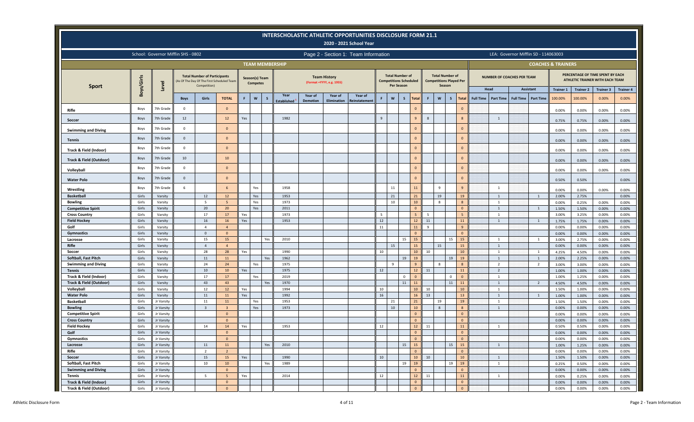|                                                   |                |                                     |                |                                                                                                   |                 |                |                 |                                 |                            | <b>INTERSCHOLASTIC ATHLETIC OPPORTUNITIES DISCLOSURE FORM 21.1</b> | 2020 - 2021 School Year  |                |                                      |                               |                    |                                                                    |                             |                                   |                  |                                      |                               |                   |                                                                     |                   |
|---------------------------------------------------|----------------|-------------------------------------|----------------|---------------------------------------------------------------------------------------------------|-----------------|----------------|-----------------|---------------------------------|----------------------------|--------------------------------------------------------------------|--------------------------|----------------|--------------------------------------|-------------------------------|--------------------|--------------------------------------------------------------------|-----------------------------|-----------------------------------|------------------|--------------------------------------|-------------------------------|-------------------|---------------------------------------------------------------------|-------------------|
|                                                   |                | School: Governor Mifflin SHS - 0802 |                |                                                                                                   |                 |                |                 |                                 |                            | Page 2 - Section 1: Team Information                               |                          |                |                                      |                               |                    |                                                                    |                             |                                   |                  | LEA: Governor Mifflin SD - 114063003 |                               |                   |                                                                     |                   |
|                                                   |                |                                     |                |                                                                                                   |                 |                |                 | <b>TEAM MEMBERSHIP</b>          |                            |                                                                    |                          |                |                                      |                               |                    |                                                                    |                             |                                   |                  |                                      | <b>COACHES &amp; TRAINERS</b> |                   |                                                                     |                   |
|                                                   | Boys/Girls     | Level                               |                | <b>Total Number of Participants</b><br>(As Of The Day Of The First Scheduled Team<br>Competition) |                 | Season(s) Team | <b>Competes</b> |                                 |                            | <b>Team History</b><br>(Format = YYYY, e.g. 1955)                  |                          |                | <b>Total Number of</b><br>Per Season | <b>Competitions Scheduled</b> |                    | <b>Total Number of</b><br><b>Competitions Played Per</b><br>Season |                             | <b>NUMBER OF COACHES PER TEAM</b> |                  |                                      |                               |                   | PERCENTAGE OF TIME SPENT BY EACH<br>ATHLETIC TRAINER WITH EACH TEAM |                   |
| <b>Sport</b>                                      |                |                                     |                |                                                                                                   |                 |                |                 |                                 |                            |                                                                    |                          |                |                                      |                               |                    |                                                                    |                             | Head                              |                  | <b>Assistant</b>                     | <b>Trainer 1</b>              | <b>Trainer 2</b>  | <b>Trainer 3</b>                                                    | <b>Trainer 4</b>  |
|                                                   |                |                                     | <b>Boys</b>    | Girls                                                                                             | <b>TOTAL</b>    | F              | $\mathsf{w}$    | Year<br>S<br><b>Established</b> | Year of<br><b>Demotion</b> | Year of<br><b>Elimination</b>                                      | Year of<br>Reinstatement | F              | $\mathsf{w}$                         | $\mathsf{s}$<br><b>Total</b>  | $\mathbf{w}$<br>F  | $\mathsf{s}$                                                       | <b>Total</b>                | Full Time   Part Time             | <b>Full Time</b> | <b>Part Time</b>                     | 100.00%                       | 100.00%           | 0.00%                                                               | 0.00%             |
| Rifle                                             | Boys           | 7th Grade                           | $\mathbf 0$    |                                                                                                   | $\mathbf{0}$    |                |                 |                                 |                            |                                                                    |                          |                |                                      | $\mathbf{0}$                  |                    |                                                                    | $\overline{0}$              |                                   |                  |                                      | 0.00%                         | 0.00%             | 0.00%                                                               | 0.00%             |
| Soccer                                            | Boys           | 7th Grade                           | 12             |                                                                                                   | 12              | Yes            |                 | 1982                            |                            |                                                                    |                          | $\overline{9}$ |                                      | 9                             | 8                  |                                                                    | 8                           | $\mathbf{1}$                      |                  |                                      | 0.75%                         | 0.75%             | 0.00%                                                               | 0.00%             |
| <b>Swimming and Diving</b>                        | Boys           | 7th Grade                           | $\overline{0}$ |                                                                                                   | $\Omega$        |                |                 |                                 |                            |                                                                    |                          |                |                                      | $\mathbf{0}$                  |                    |                                                                    | $\mathbf{0}$                |                                   |                  |                                      | 0.00%                         | 0.00%             | 0.00%                                                               | 0.00%             |
| <b>Tennis</b>                                     | <b>Boys</b>    | 7th Grade                           | $\mathbf{0}$   |                                                                                                   | $\Omega$        |                |                 |                                 |                            |                                                                    |                          |                |                                      | $\mathbf{0}$                  |                    |                                                                    | $\mathbf{0}$                |                                   |                  |                                      | 0.00%                         | 0.00%             | 0.00%                                                               | 0.00%             |
| Track & Field (Indoor)                            | Boys           | 7th Grade                           | $\mathbf 0$    |                                                                                                   | $\Omega$        |                |                 |                                 |                            |                                                                    |                          |                |                                      | $\mathbf{0}$                  |                    |                                                                    | $\mathbf{0}$                |                                   |                  |                                      | 0.00%                         | 0.00%             | 0.00%                                                               | 0.00%             |
| Track & Field (Outdoor)                           | Boys           | 7th Grade                           | 10             |                                                                                                   | 10              |                |                 |                                 |                            |                                                                    |                          |                |                                      | $\mathbf{0}$                  |                    |                                                                    | $\mathbf{0}$                |                                   |                  |                                      | 0.00%                         | 0.00%             | 0.00%                                                               | 0.00%             |
| Volleyball                                        | Boys           | 7th Grade                           | $\mathbf 0$    |                                                                                                   | $\mathbf{0}$    |                |                 |                                 |                            |                                                                    |                          |                |                                      | $\bf 0$                       |                    |                                                                    | $\overline{0}$              |                                   |                  |                                      | 0.00%                         | 0.00%             | 0.00%                                                               | 0.00%             |
| <b>Water Polo</b>                                 | Boys           | 7th Grade                           | $\mathbf{0}$   |                                                                                                   | $\Omega$        |                |                 |                                 |                            |                                                                    |                          |                |                                      | $\mathbf{0}$                  |                    |                                                                    | $\mathbf{0}$                |                                   |                  |                                      | 0.50%                         | 0.50%             |                                                                     | 0.00%             |
| Wrestling                                         | Boys           | 7th Grade                           | 6              |                                                                                                   | 6               |                | Yes             | 1958                            |                            |                                                                    |                          |                | 11                                   | 11                            | 9                  |                                                                    | 9                           | $\overline{1}$                    |                  |                                      | 0.00%                         | 0.00%             | 0.00%                                                               | 0.00%             |
| <b>Basketball</b>                                 | Girls          | Varsity                             |                | 12                                                                                                | 12              |                | Yes             | 1953                            |                            |                                                                    |                          |                | 21                                   | 21                            | 19                 |                                                                    | 19                          | $\overline{1}$                    |                  | $\overline{1}$                       | 2.00%                         | 2.75%             |                                                                     | 0.00%             |
| <b>Bowling</b>                                    | Girls          | Varsity                             |                | 5                                                                                                 | $5\overline{5}$ |                | Yes             | 1973                            |                            |                                                                    |                          |                | 10                                   | 10                            | 8                  |                                                                    | 8                           | $\mathbf{1}$                      |                  |                                      | 0.00%                         | 0.25%             | 0.00%                                                               | 0.00%             |
| <b>Competitive Spirit</b>                         | Girls          | Varsity                             |                | 20                                                                                                | 20              |                | Yes             | 2011                            |                            |                                                                    |                          |                |                                      | $\mathbf{0}$                  |                    |                                                                    | $\Omega$                    | $\overline{1}$                    |                  | $\overline{1}$                       | 1.50%                         | 1.50%             | 0.00%                                                               | 0.00%             |
| <b>Cross Country</b>                              | Girls          | Varsity                             |                | 17                                                                                                | 17              | Yes            |                 | 1973                            |                            |                                                                    |                          | -5             |                                      | 5                             | 5                  |                                                                    |                             | $\mathbf{1}$                      |                  |                                      | 3.00%                         | 3.25%             | 0.00%                                                               | 0.00%             |
| <b>Field Hockey</b>                               | Girls          | Varsity                             |                | 16                                                                                                | 16              | Yes            |                 | 1953                            |                            |                                                                    |                          | $12\,$         |                                      | 12                            | 11                 |                                                                    | 11                          | $\overline{1}$                    |                  | $\overline{1}$                       | 1.75%                         | 1.75%             | 0.00%                                                               | 0.00%             |
| Golf                                              | Girls          | Varsity                             |                | $\overline{4}$                                                                                    | $\Delta$        |                |                 |                                 |                            |                                                                    |                          | $11\,$         |                                      | 11                            | $\mathbf{q}$       |                                                                    | $\mathbf{q}$                |                                   |                  |                                      | 0.00%                         | 0.00%             | 0.00%                                                               | 0.00%             |
| Gymnastics                                        | Girls          | Varsity                             |                | $\mathbf{0}$                                                                                      | $\Omega$        |                |                 |                                 |                            |                                                                    |                          |                |                                      | $\mathbf{0}$                  |                    |                                                                    | $\Omega$                    | $\mathbf{1}$                      |                  |                                      | 0.00%                         | 0.00%             | 0.00%                                                               | 0.00%             |
| Lacrosse<br><b>Rifle</b>                          | Girls<br>Girls | Varsity<br>Varsity                  |                | 15<br>$\overline{4}$                                                                              | 15<br>$\Delta$  |                |                 | 2010<br>Yes                     |                            |                                                                    |                          |                | 15                                   | 15<br>15<br>15                | 15                 | 15                                                                 | 15<br>15                    | $\overline{1}$                    |                  | 1                                    | 3.00%<br>0.00%                | 2.75%<br>0.00%    | 0.00%<br>0.00%                                                      | 0.00%<br>0.00%    |
| Soccer                                            | Girls          | Varsity                             |                | 28                                                                                                | 28              | Yes            |                 | 1990                            |                            |                                                                    |                          | 10             |                                      | 10 <sup>°</sup>               | 10                 |                                                                    | 10                          | $\mathbf{1}$                      |                  | $\overline{1}$                       | 4.25%                         | 4.50%             | 0.00%                                                               | 0.00%             |
| Softball, Fast Pitch                              | Girls          | Varsity                             |                | 11                                                                                                | 11              |                |                 | 1962<br>Yes                     |                            |                                                                    |                          |                |                                      | 19<br>19                      |                    | 19                                                                 | 19                          | $\mathbf{1}$                      |                  | 1                                    | 2.00%                         | 2.25%             | 0.00%                                                               | 0.00%             |
| <b>Swimming and Diving</b>                        | Girls          | Varsity                             |                | 24                                                                                                | 24              |                | Yes             | 1975                            |                            |                                                                    |                          |                | 9                                    | 9                             | 8                  |                                                                    |                             | $\overline{2}$                    |                  | $\overline{\phantom{a}}$             | 3.00%                         | 3.00%             | 0.00%                                                               | 0.00%             |
| <b>Tennis</b>                                     | Girls          | Varsity                             |                | $10\,$                                                                                            | 10              | Yes            |                 | 1975                            |                            |                                                                    |                          | $12\,$         |                                      | $12$                          | 11                 |                                                                    | 11                          | $\overline{2}$                    |                  |                                      | 1.00%                         | 1.00%             | 0.00%                                                               | 0.00%             |
| Track & Field (Indoor)                            | Girls          | Varsity                             |                | 17                                                                                                | 17              |                | Yes             | 2019                            |                            |                                                                    |                          |                |                                      | $\mathbf{0}$<br>$\mathbf 0$   |                    | $\mathsf 0$                                                        | $\Omega$                    | $\mathbf{1}$                      |                  |                                      | 1.00%                         | 1.25%             | 0.00%                                                               | 0.00%             |
| <b>Track &amp; Field (Outdoor)</b>                | Girls          | Varsity                             |                | 43                                                                                                | 43              |                |                 | 1970<br>Yes                     |                            |                                                                    |                          |                |                                      | 11<br>11                      |                    | 11                                                                 | 11                          | $\overline{1}$                    |                  | $\overline{2}$                       | 4.50%                         | 4.50%             | 0.00%                                                               | 0.00%             |
| Volleyball                                        | Girls          | Varsity                             |                | 12                                                                                                | 12              | Yes            |                 | 1994                            |                            |                                                                    |                          | 10             |                                      | 10 <sup>°</sup>               | 10                 |                                                                    | 10                          | $\mathbf{1}$                      |                  |                                      | 1.50%                         | 1.00%             | 0.00%                                                               | 0.00%             |
| <b>Water Polo</b>                                 | Girls          | Varsity                             |                | 11                                                                                                | 11              | Yes            |                 | 1992                            |                            |                                                                    |                          | 16             |                                      | 16                            | 13                 |                                                                    | 13                          | $\overline{1}$<br>$\overline{1}$  |                  | $\overline{1}$                       | 1.00%                         | 1.00%             | 0.00%                                                               | 0.00%             |
| <b>Basketball</b><br><b>Bowling</b>               | Girls<br>Girls | Jr Varsity<br>Jr Varsity            |                | $11\,$<br>$\mathbf{R}$                                                                            | 11              |                | Yes<br>Yes      | 1953<br>1973                    |                            |                                                                    |                          |                | 21<br>10 <sup>10</sup>               | 21<br>10                      | 19<br>$\mathbf{R}$ |                                                                    | 19                          | $\overline{1}$                    |                  |                                      | 1.50%<br>0.00%                | 1.50%<br>0.00%    | 0.00%<br>0.00%                                                      | 0.00%<br>0.00%    |
| <b>Competitive Spirit</b>                         | Girls          | Jr Varsity                          |                |                                                                                                   | $\Omega$        |                |                 |                                 |                            |                                                                    |                          |                |                                      | $\mathbf{0}$                  |                    |                                                                    | $\Omega$                    |                                   |                  |                                      | 0.00%                         | 0.00%             | 0.00%                                                               | 0.00%             |
| <b>Cross Country</b>                              | Girls          | Jr Varsity                          |                |                                                                                                   | $\Omega$        |                |                 |                                 |                            |                                                                    |                          |                |                                      | $\mathbf{0}$                  |                    |                                                                    | $\Omega$                    |                                   |                  |                                      | 0.00%                         | 0.00%             | 0.00%                                                               | 0.00%             |
| <b>Field Hockey</b>                               | Girls          | Jr Varsity                          |                | $14\,$                                                                                            | 14              | Yes            |                 | 1953                            |                            |                                                                    |                          | 12             |                                      | $12$                          | 11                 |                                                                    | 11                          | $\mathbf{1}$                      |                  |                                      | 0.50%                         | 0.50%             | 0.00%                                                               | 0.00%             |
| Golf                                              | Girls          | Jr Varsity                          |                |                                                                                                   | $\overline{0}$  |                |                 |                                 |                            |                                                                    |                          |                |                                      | $\mathbf{0}$                  |                    |                                                                    | $\mathbf{0}$                |                                   |                  |                                      | 0.00%                         | 0.00%             | 0.00%                                                               | 0.00%             |
| Gymnastics                                        | Girls          | Jr Varsity                          |                |                                                                                                   | $\mathbf{0}$    |                |                 |                                 |                            |                                                                    |                          |                |                                      | $\mathbf 0$                   |                    |                                                                    | $\mathbf{0}$                |                                   |                  |                                      | 0.00%                         | $0.00\%$          | 0.00%                                                               | 0.00%             |
| Lacrosse                                          | Girls          | Jr Varsity                          |                | 11                                                                                                | 11              |                |                 | Yes<br>2010                     |                            |                                                                    |                          |                |                                      | 15<br>15                      |                    | 15                                                                 | 15                          | $\overline{1}$                    |                  |                                      | 1.00%                         | 1.25%             | 0.00%                                                               | 0.00%             |
| Rifle                                             | Girls          | Jr Varsity                          |                | $\overline{2}$                                                                                    | $\overline{2}$  |                |                 |                                 |                            |                                                                    |                          |                |                                      | $\mathbf{0}$                  |                    |                                                                    | $\mathbf{0}$                |                                   |                  |                                      | 0.00%                         | 0.00%             | $0.00\%$                                                            | 0.00%             |
| Soccer                                            | Girls          | Jr Varsity                          |                | 15                                                                                                | 15              | Yes            |                 | 1990                            |                            |                                                                    |                          | $10\,$         |                                      | 10                            | 10                 |                                                                    | 10                          | $\mathbf{1}$                      |                  |                                      | 1.50%                         | 1.50%             | $0.00\%$                                                            | $0.00\%$          |
| Softball, Fast Pitch                              | Girls          | Jr Varsity                          |                | $10\,$                                                                                            | $10$            |                |                 | Yes<br>1989                     |                            |                                                                    |                          |                |                                      | 19<br>19                      |                    | 19                                                                 | 19                          | $\mathbf{1}$                      |                  |                                      | 0.25%                         | 0.50%             | $0.00\%$                                                            | 0.00%             |
| <b>Swimming and Diving</b>                        | Girls          | Jr Varsity                          |                |                                                                                                   | $\Omega$        |                |                 |                                 |                            |                                                                    |                          |                |                                      | $\mathbf{0}$                  |                    |                                                                    | $\overline{0}$              |                                   |                  |                                      | 0.00%                         | 0.00%             | $0.00\%$                                                            | $0.00\%$          |
| Tennis                                            | Girls<br>Girls | Jr Varsity                          |                | $5\overline{5}$                                                                                   | -5<br>$\Omega$  | Yes            |                 | 2014                            |                            |                                                                    |                          | 12             |                                      | 12<br>$\mathbf 0$             | 11                 |                                                                    | 11                          | $\mathbf{1}$                      |                  |                                      | 0.00%                         | 0.25%             | $0.00\%$                                                            | 0.00%             |
| Track & Field (Indoor)<br>Track & Field (Outdoor) | Girls          | Jr Varsity<br>Jr Varsity            |                |                                                                                                   | $\mathbf{0}$    |                |                 |                                 |                            |                                                                    |                          |                |                                      | $\mathbf 0$                   |                    |                                                                    | $\mathbf{0}$<br>$\mathbf 0$ |                                   |                  |                                      | 0.00%<br>0.00%                | 0.00%<br>$0.00\%$ | 0.00%<br>0.00%                                                      | $0.00\%$<br>0.00% |
|                                                   |                |                                     |                |                                                                                                   |                 |                |                 |                                 |                            |                                                                    |                          |                |                                      |                               |                    |                                                                    |                             |                                   |                  |                                      |                               |                   |                                                                     |                   |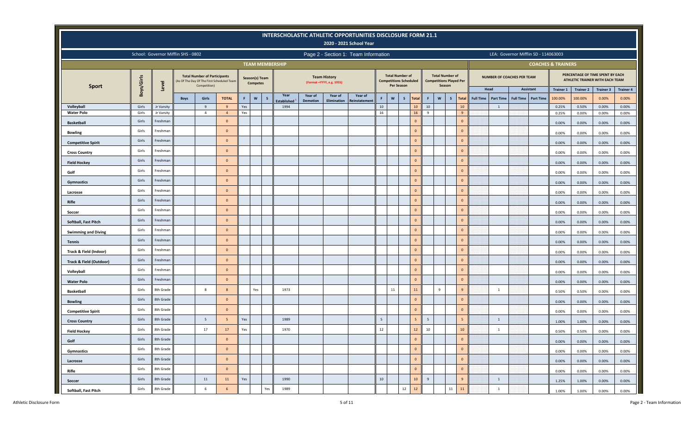|                                 |                |                                     |             |                                                                                                   |                   |            |                                   | INTERSCHOLASTIC ATHLETIC OPPORTUNITIES DISCLOSURE FORM 21.1 |                 |                                                   | 2020 - 2021 School Year              |          |            |                                                         |                    |                                                          |              |              |                                      |                                      |                  |                               |                  |                                                                     |                  |
|---------------------------------|----------------|-------------------------------------|-------------|---------------------------------------------------------------------------------------------------|-------------------|------------|-----------------------------------|-------------------------------------------------------------|-----------------|---------------------------------------------------|--------------------------------------|----------|------------|---------------------------------------------------------|--------------------|----------------------------------------------------------|--------------|--------------|--------------------------------------|--------------------------------------|------------------|-------------------------------|------------------|---------------------------------------------------------------------|------------------|
|                                 |                | School: Governor Mifflin SHS - 0802 |             |                                                                                                   |                   |            |                                   |                                                             |                 |                                                   | Page 2 - Section 1: Team Information |          |            |                                                         |                    |                                                          |              |              |                                      | LEA: Governor Mifflin SD - 114063003 |                  |                               |                  |                                                                     |                  |
|                                 |                |                                     |             |                                                                                                   |                   |            |                                   | <b>TEAM MEMBERSHIP</b>                                      |                 |                                                   |                                      |          |            |                                                         |                    |                                                          |              |              |                                      |                                      |                  | <b>COACHES &amp; TRAINERS</b> |                  |                                                                     |                  |
| <b>Sport</b>                    | Boys/Girls     | Level                               |             | <b>Total Number of Participants</b><br>(As Of The Day Of The First Scheduled Team<br>Competition) |                   |            | Season(s) Team<br><b>Competes</b> |                                                             |                 | <b>Team History</b><br>(Format = YYYY, e.g. 1955) |                                      |          | Per Season | <b>Total Number of</b><br><b>Competitions Scheduled</b> |                    | <b>Total Number of</b><br><b>Competitions Played Per</b> | Season       |              |                                      | NUMBER OF COACHES PER TEAM           |                  |                               |                  | PERCENTAGE OF TIME SPENT BY EACH<br>ATHLETIC TRAINER WITH EACH TEAM |                  |
|                                 |                |                                     |             |                                                                                                   |                   |            |                                   | Year                                                        | Year of         | Year of                                           | Year of                              |          |            |                                                         |                    |                                                          |              |              | Head                                 | <b>Assistant</b>                     |                  | <b>Trainer 1</b>              | <b>Trainer 2</b> | <b>Trainer 3</b>                                                    | <b>Trainer 4</b> |
|                                 |                |                                     | <b>Boys</b> | Girls                                                                                             | <b>TOTAL</b><br>9 | F          | $\mathsf{w}$<br>$\mathsf{s}$      | <b>Established</b>                                          | <b>Demotion</b> | <b>Elimination</b>                                | <b>Reinstatement</b>                 | F.       | W          | $\mathsf{s}$<br><b>Total</b>                            | F                  | $\boldsymbol{\mathsf{w}}$                                | $\mathsf{s}$ | <b>Total</b> | <b>Full Time</b><br><b>Part Time</b> | <b>Full Time</b>                     | <b>Part Time</b> | 100.00%                       | 100.00%          | 0.00%                                                               | 0.00%            |
| Volleyball<br><b>Water Polo</b> | Girls<br>Girls | Jr Varsity<br>Jr Varsity            |             | 9<br>$\overline{4}$                                                                               | $\overline{4}$    | Yes<br>Yes |                                   | 1994                                                        |                 |                                                   |                                      | 10<br>16 |            | 10 <sup>°</sup><br>16                                   | 10<br>$\mathbf{q}$ |                                                          |              | 10<br>9      | 1                                    |                                      |                  | 0.25%<br>0.25%                | 0.50%<br>0.00%   | 0.00%<br>0.00%                                                      | 0.00%<br>0.00%   |
| <b>Basketball</b>               | Girls          | Freshman                            |             |                                                                                                   | $\Omega$          |            |                                   |                                                             |                 |                                                   |                                      |          |            | $\mathbf{0}$                                            |                    |                                                          |              | $\mathbf{0}$ |                                      |                                      |                  | 0.00%                         | 0.00%            | 0.00%                                                               | 0.00%            |
| <b>Bowling</b>                  | Girls          | Freshman                            |             |                                                                                                   | $\mathbf{0}$      |            |                                   |                                                             |                 |                                                   |                                      |          |            | $\mathsf{O}\xspace$                                     |                    |                                                          |              | $\mathbf{0}$ |                                      |                                      |                  | 0.00%                         | 0.00%            | 0.00%                                                               | 0.00%            |
| <b>Competitive Spirit</b>       | Girls          | Freshman                            |             |                                                                                                   | $\overline{0}$    |            |                                   |                                                             |                 |                                                   |                                      |          |            | $\mathbf 0$                                             |                    |                                                          |              | $\mathbf{0}$ |                                      |                                      |                  | 0.00%                         | 0.00%            | 0.00%                                                               | 0.00%            |
| <b>Cross Country</b>            | Girls          | Freshman                            |             |                                                                                                   | $\mathbf{0}$      |            |                                   |                                                             |                 |                                                   |                                      |          |            | $\mathbf{0}$                                            |                    |                                                          |              | $\mathbf{0}$ |                                      |                                      |                  | 0.00%                         | 0.00%            | 0.00%                                                               | 0.00%            |
| <b>Field Hockey</b>             | Girls          | Freshman                            |             |                                                                                                   | $\Omega$          |            |                                   |                                                             |                 |                                                   |                                      |          |            | $\mathsf{O}\xspace$                                     |                    |                                                          |              | $\mathbf{0}$ |                                      |                                      |                  | 0.00%                         | 0.00%            | 0.00%                                                               | 0.00%            |
| Golf                            | Girls          | Freshman                            |             |                                                                                                   | $\overline{0}$    |            |                                   |                                                             |                 |                                                   |                                      |          |            | $\mathbf{0}$                                            |                    |                                                          |              | $\mathbf{0}$ |                                      |                                      |                  | 0.00%                         | 0.00%            | 0.00%                                                               | 0.00%            |
| Gymnastics                      | Girls          | Freshman                            |             |                                                                                                   | $\mathbf{0}$      |            |                                   |                                                             |                 |                                                   |                                      |          |            | $\mathsf{O}\xspace$                                     |                    |                                                          |              | $\mathbf{0}$ |                                      |                                      |                  | 0.00%                         | 0.00%            | 0.00%                                                               | 0.00%            |
| Lacrosse                        | Girls          | Freshman                            |             |                                                                                                   | $\overline{0}$    |            |                                   |                                                             |                 |                                                   |                                      |          |            | $\mathbf 0$                                             |                    |                                                          |              | $\mathbf{0}$ |                                      |                                      |                  | 0.00%                         | 0.00%            | 0.00%                                                               | 0.00%            |
| Rifle                           | Girls          | Freshman                            |             |                                                                                                   | $\mathbf{0}$      |            |                                   |                                                             |                 |                                                   |                                      |          |            | $\mathbf 0$                                             |                    |                                                          |              | $\mathbf{0}$ |                                      |                                      |                  | 0.00%                         | 0.00%            | 0.00%                                                               | 0.00%            |
| Soccer                          | Girls          | Freshman                            |             |                                                                                                   | $\Omega$          |            |                                   |                                                             |                 |                                                   |                                      |          |            | $\mathsf{O}\xspace$                                     |                    |                                                          |              | $\mathbf{0}$ |                                      |                                      |                  | 0.00%                         | $0.00\%$         | 0.00%                                                               | 0.00%            |
| Softball, Fast Pitch            | Girls          | Freshman                            |             |                                                                                                   | $\Omega$          |            |                                   |                                                             |                 |                                                   |                                      |          |            | $\mathbf{0}$                                            |                    |                                                          |              | $\mathbf{0}$ |                                      |                                      |                  | 0.00%                         | 0.00%            | 0.00%                                                               | 0.00%            |
| <b>Swimming and Diving</b>      | Girls          | Freshman                            |             |                                                                                                   | $\mathbf{0}$      |            |                                   |                                                             |                 |                                                   |                                      |          |            | $\mathsf{O}\xspace$                                     |                    |                                                          |              | $\mathbf{0}$ |                                      |                                      |                  | 0.00%                         | 0.00%            | 0.00%                                                               | 0.00%            |
| <b>Tennis</b>                   | Girls          | Freshman                            |             |                                                                                                   | $\overline{0}$    |            |                                   |                                                             |                 |                                                   |                                      |          |            | $\mathbf 0$                                             |                    |                                                          |              | $\mathbf{0}$ |                                      |                                      |                  | 0.00%                         | 0.00%            | 0.00%                                                               | 0.00%            |
| Track & Field (Indoor)          | Girls          | Freshman                            |             |                                                                                                   | $\mathbf{0}$      |            |                                   |                                                             |                 |                                                   |                                      |          |            | $\mathbf 0$                                             |                    |                                                          |              | $\mathbf{0}$ |                                      |                                      |                  | 0.00%                         | 0.00%            | 0.00%                                                               | 0.00%            |
| Track & Field (Outdoor)         | Girls          | Freshman                            |             |                                                                                                   | $\Omega$          |            |                                   |                                                             |                 |                                                   |                                      |          |            | $\mathsf{O}\xspace$                                     |                    |                                                          |              | $\mathbf{0}$ |                                      |                                      |                  | 0.00%                         | 0.00%            | 0.00%                                                               | 0.00%            |
| Volleyball                      | Girls          | Freshman                            |             |                                                                                                   | $\overline{0}$    |            |                                   |                                                             |                 |                                                   |                                      |          |            | $\mathbf{0}$                                            |                    |                                                          |              | $\mathbf{0}$ |                                      |                                      |                  | 0.00%                         | 0.00%            | 0.00%                                                               | 0.00%            |
| <b>Water Polo</b>               | Girls          | Freshman                            |             |                                                                                                   | $\mathbf{0}$      |            |                                   |                                                             |                 |                                                   |                                      |          |            | $\mathbf{0}$                                            |                    |                                                          |              | $\mathbf{0}$ |                                      |                                      |                  | 0.00%                         | 0.00%            | 0.00%                                                               | 0.00%            |
| <b>Basketball</b>               | Girls          | 8th Grade                           |             | 8                                                                                                 | -8                |            | Yes                               | 1973                                                        |                 |                                                   |                                      |          | 11         | 11                                                      |                    | 9                                                        |              | 9            | $\mathbf{1}$                         |                                      |                  | 0.50%                         | 0.50%            | 0.00%                                                               | 0.00%            |
| <b>Bowling</b>                  | Girls          | 8th Grade                           |             |                                                                                                   | $\mathbf{0}$      |            |                                   |                                                             |                 |                                                   |                                      |          |            | $\mathbf 0$                                             |                    |                                                          |              | $\mathbf{0}$ |                                      |                                      |                  | 0.00%                         | 0.00%            | 0.00%                                                               | 0.00%            |
| <b>Competitive Spirit</b>       | Girls          | 8th Grade                           |             |                                                                                                   | $\Omega$          |            |                                   |                                                             |                 |                                                   |                                      |          |            | $\mathsf{O}\xspace$                                     |                    |                                                          |              | $\mathbf{0}$ |                                      |                                      |                  | 0.00%                         | 0.00%            | 0.00%                                                               | 0.00%            |
| <b>Cross Country</b>            | Girls          | 8th Grade                           |             | 5                                                                                                 | 5                 | Yes        |                                   | 1989                                                        |                 |                                                   |                                      | 5        |            | 5                                                       | 5                  |                                                          |              | 5            | 1                                    |                                      |                  | 1.00%                         | 1.00%            | 0.00%                                                               | 0.00%            |
| <b>Field Hockey</b>             | Girls          | 8th Grade                           |             | 17                                                                                                | 17                | Yes        |                                   | 1970                                                        |                 |                                                   |                                      | $12\,$   |            | 12                                                      | $10\,$             |                                                          |              | $10\,$       | 1                                    |                                      |                  | 0.50%                         | 0.50%            | 0.00%                                                               | 0.00%            |
| Golf                            | Girls          | 8th Grade                           |             |                                                                                                   | $\overline{0}$    |            |                                   |                                                             |                 |                                                   |                                      |          |            | $\mathbf 0$                                             |                    |                                                          |              | $\mathbf 0$  |                                      |                                      |                  | 0.00%                         | 0.00%            | 0.00%                                                               | 0.00%            |
| Gymnastics                      | Girls          | 8th Grade                           |             |                                                                                                   | $\mathbf{0}$      |            |                                   |                                                             |                 |                                                   |                                      |          |            | $\mathbf{0}$                                            |                    |                                                          |              | $\mathbf 0$  |                                      |                                      |                  | 0.00%                         | 0.00%            | 0.00%                                                               | 0.00%            |
| Lacrosse                        | Girls          | 8th Grade                           |             |                                                                                                   | $\mathbf{0}$      |            |                                   |                                                             |                 |                                                   |                                      |          |            | $\mathbf{0}$                                            |                    |                                                          |              | $\mathbf 0$  |                                      |                                      |                  | 0.00%                         | 0.00%            | 0.00%                                                               | 0.00%            |
| Rifle                           | Girls          | 8th Grade                           |             |                                                                                                   | $\mathbf{0}$      |            |                                   |                                                             |                 |                                                   |                                      |          |            | $\overline{0}$                                          |                    |                                                          |              | $\mathbf{0}$ |                                      |                                      |                  | 0.00%                         | 0.00%            | 0.00%                                                               | 0.00%            |
| Soccer                          | Girls          | 8th Grade                           |             | 11                                                                                                | 11                | Yes        |                                   | 1990                                                        |                 |                                                   |                                      | $10\,$   |            | 10                                                      | 9                  |                                                          |              | 9            | 1                                    |                                      |                  | 1.25%                         | 1.00%            | 0.00%                                                               | 0.00%            |
| Softball, Fast Pitch            | Girls          | 8th Grade                           |             | $\,$ 6 $\,$                                                                                       | 6                 |            | Yes                               | 1989                                                        |                 |                                                   |                                      |          |            | $12\,$<br>$12$                                          |                    |                                                          | $11\,$       | 11           | $\mathbf{1}$                         |                                      |                  | 1.00%                         | 1.00%            | 0.00%                                                               | 0.00%            |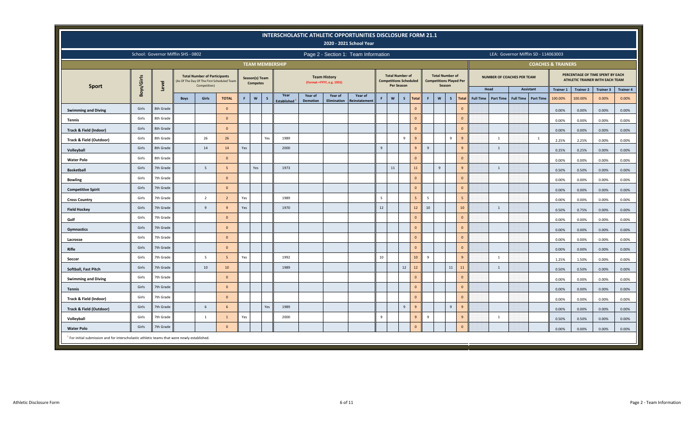|                                                                                                         |            |                                     |             |                                                                                                   |                |     |                                   |     |                          |                 |                                                   | INTERSCHOLASTIC ATHLETIC OPPORTUNITIES DISCLOSURE FORM 21.1<br>2020 - 2021 School Year |    |                                                                       |              |                 |              |                                                                    |                |                |                  |                  |                                   |                                      |                               |                  |                                                                     |                  |
|---------------------------------------------------------------------------------------------------------|------------|-------------------------------------|-------------|---------------------------------------------------------------------------------------------------|----------------|-----|-----------------------------------|-----|--------------------------|-----------------|---------------------------------------------------|----------------------------------------------------------------------------------------|----|-----------------------------------------------------------------------|--------------|-----------------|--------------|--------------------------------------------------------------------|----------------|----------------|------------------|------------------|-----------------------------------|--------------------------------------|-------------------------------|------------------|---------------------------------------------------------------------|------------------|
|                                                                                                         |            | School: Governor Mifflin SHS - 0802 |             |                                                                                                   |                |     |                                   |     |                          |                 |                                                   | Page 2 - Section 1: Team Information                                                   |    |                                                                       |              |                 |              |                                                                    |                |                |                  |                  |                                   | LEA: Governor Mifflin SD - 114063003 |                               |                  |                                                                     |                  |
|                                                                                                         |            |                                     |             |                                                                                                   |                |     |                                   |     | <b>TEAM MEMBERSHIP</b>   |                 |                                                   |                                                                                        |    |                                                                       |              |                 |              |                                                                    |                |                |                  |                  |                                   |                                      | <b>COACHES &amp; TRAINERS</b> |                  |                                                                     |                  |
| <b>Sport</b>                                                                                            | Boys/Girls | Level                               |             | <b>Total Number of Participants</b><br>(As Of The Day Of The First Scheduled Team<br>Competition) |                |     | Season(s) Team<br><b>Competes</b> |     |                          |                 | <b>Team History</b><br>(Format = YYYY, e.g. 1955) |                                                                                        |    | <b>Total Number of</b><br><b>Competitions Scheduled</b><br>Per Season |              |                 |              | <b>Total Number of</b><br><b>Competitions Played Per</b><br>Season |                |                |                  |                  | <b>NUMBER OF COACHES PER TEAM</b> |                                      |                               |                  | PERCENTAGE OF TIME SPENT BY EACH<br>ATHLETIC TRAINER WITH EACH TEAM |                  |
|                                                                                                         |            |                                     |             |                                                                                                   |                |     |                                   |     | Year                     | Year of         | Year of                                           | Year of                                                                                |    |                                                                       |              |                 |              |                                                                    |                |                |                  | Head             | <b>Assistant</b>                  |                                      | Trainer 1                     | <b>Trainer 2</b> | <b>Trainer 3</b>                                                    | <b>Trainer 4</b> |
|                                                                                                         |            |                                     | <b>Boys</b> | Girls                                                                                             | <b>TOTAL</b>   | F.  | $\boldsymbol{\mathsf{w}}$         | s   | Established <sup>1</sup> | <b>Demotion</b> | Elimination                                       | <b>Reinstatement</b>                                                                   | F  | $\boldsymbol{\mathsf{w}}$                                             | $\mathsf{s}$ | <b>Total</b>    | <b>F</b>     | W                                                                  | $\mathsf{s}$   | <b>Total</b>   | <b>Full Time</b> | <b>Part Time</b> | <b>Full Time</b>                  | <b>Part Time</b>                     | 100.00%                       | 100.00%          | 0.00%                                                               | 0.00%            |
| <b>Swimming and Diving</b>                                                                              | Girls      | 8th Grade                           |             |                                                                                                   | $\Omega$       |     |                                   |     |                          |                 |                                                   |                                                                                        |    |                                                                       |              | $\mathbf 0$     |              |                                                                    |                | $\Omega$       |                  |                  |                                   |                                      | 0.00%                         | 0.00%            | 0.00%                                                               | 0.00%            |
| Tennis                                                                                                  | Girls      | 8th Grade                           |             |                                                                                                   | $\Omega$       |     |                                   |     |                          |                 |                                                   |                                                                                        |    |                                                                       |              | $\mathbf{0}$    |              |                                                                    |                | $\mathbf{0}$   |                  |                  |                                   |                                      | 0.00%                         | 0.00%            | 0.00%                                                               | 0.00%            |
| <b>Track &amp; Field (Indoor)</b>                                                                       | Girls      | 8th Grade                           |             |                                                                                                   | $\mathbf{0}$   |     |                                   |     |                          |                 |                                                   |                                                                                        |    |                                                                       |              | $\mathbf{0}$    |              |                                                                    |                | $\mathbf{0}$   |                  |                  |                                   |                                      | 0.00%                         | 0.00%            | 0.00%                                                               | 0.00%            |
| Track & Field (Outdoor)                                                                                 | Girls      | 8th Grade                           |             | 26                                                                                                | 26             |     |                                   | Yes | 1989                     |                 |                                                   |                                                                                        |    |                                                                       | 9            | $\mathbf{q}$    |              |                                                                    | $\overline{9}$ | $\mathbf{q}$   |                  | $\mathbf{1}$     |                                   | 1                                    | 2.25%                         | 2.25%            | 0.00%                                                               | 0.00%            |
| Volleyball                                                                                              | Girls      | 8th Grade                           |             | $14\,$                                                                                            | 14             | Yes |                                   |     | 2000                     |                 |                                                   |                                                                                        | 9  |                                                                       |              | $\overline{9}$  | $\mathbf{q}$ |                                                                    |                | $\overline{9}$ |                  | $\overline{1}$   |                                   |                                      | 0.25%                         | 0.25%            | 0.00%                                                               | 0.00%            |
| <b>Water Polo</b>                                                                                       | Girls      | 8th Grade                           |             |                                                                                                   | $\mathbf{0}$   |     |                                   |     |                          |                 |                                                   |                                                                                        |    |                                                                       |              | $\mathbf{0}$    |              |                                                                    |                | $\mathbf{0}$   |                  |                  |                                   |                                      | 0.00%                         | 0.00%            | 0.00%                                                               | 0.00%            |
| <b>Basketball</b>                                                                                       | Girls      | 7th Grade                           |             | $5\overline{5}$                                                                                   | 5 <sub>5</sub> |     | Yes                               |     | 1973                     |                 |                                                   |                                                                                        |    | $11\,$                                                                |              | 11              |              | $\mathbf{q}$                                                       |                | $\mathbf{q}$   |                  | $\overline{1}$   |                                   |                                      | 0.50%                         | 0.50%            | 0.00%                                                               | 0.00%            |
| <b>Bowling</b>                                                                                          | Girls      | 7th Grade                           |             |                                                                                                   | $\Omega$       |     |                                   |     |                          |                 |                                                   |                                                                                        |    |                                                                       |              | $\mathbf{0}$    |              |                                                                    |                | $\mathbf{0}$   |                  |                  |                                   |                                      | 0.00%                         | 0.00%            | 0.00%                                                               | 0.00%            |
| <b>Competitive Spirit</b>                                                                               | Girls      | 7th Grade                           |             |                                                                                                   | $\overline{0}$ |     |                                   |     |                          |                 |                                                   |                                                                                        |    |                                                                       |              | $\mathbf 0$     |              |                                                                    |                | $\mathbf 0$    |                  |                  |                                   |                                      | 0.00%                         | 0.00%            | 0.00%                                                               | 0.00%            |
| <b>Cross Country</b>                                                                                    | Girls      | 7th Grade                           |             | $\overline{2}$                                                                                    | $\overline{2}$ | Yes |                                   |     | 1989                     |                 |                                                   |                                                                                        | 5  |                                                                       |              | 5               | -5           |                                                                    |                | $\overline{5}$ |                  |                  |                                   |                                      | 0.00%                         | 0.00%            | 0.00%                                                               | 0.00%            |
| <b>Field Hockey</b>                                                                                     | Girls      | 7th Grade                           |             | 9                                                                                                 | $\mathbf{q}$   | Yes |                                   |     | 1970                     |                 |                                                   |                                                                                        | 12 |                                                                       |              | 12              | 10           |                                                                    |                | 10             |                  | $\overline{1}$   |                                   |                                      | 0.50%                         | 0.75%            | 0.00%                                                               | 0.00%            |
| Golf                                                                                                    | Girls      | 7th Grade                           |             |                                                                                                   | $\mathbf{0}$   |     |                                   |     |                          |                 |                                                   |                                                                                        |    |                                                                       |              | $\mathbf 0$     |              |                                                                    |                | $\mathbf{0}$   |                  |                  |                                   |                                      | 0.00%                         | 0.00%            | 0.00%                                                               | 0.00%            |
| Gymnastics                                                                                              | Girls      | 7th Grade                           |             |                                                                                                   | $\Omega$       |     |                                   |     |                          |                 |                                                   |                                                                                        |    |                                                                       |              | $\mathbf{0}$    |              |                                                                    |                | $\mathbf{0}$   |                  |                  |                                   |                                      | 0.00%                         | 0.00%            | 0.00%                                                               | 0.00%            |
| Lacrosse                                                                                                | Girls      | 7th Grade                           |             |                                                                                                   | $\mathbf{0}$   |     |                                   |     |                          |                 |                                                   |                                                                                        |    |                                                                       |              | $\mathbf{0}$    |              |                                                                    |                | $\Omega$       |                  |                  |                                   |                                      | 0.00%                         | 0.00%            | 0.00%                                                               | 0.00%            |
| Rifle                                                                                                   | Girls      | 7th Grade                           |             |                                                                                                   | $\Omega$       |     |                                   |     |                          |                 |                                                   |                                                                                        |    |                                                                       |              | $\mathbf{0}$    |              |                                                                    |                | $\mathbf{0}$   |                  |                  |                                   |                                      | 0.00%                         | 0.00%            | 0.00%                                                               | 0.00%            |
| Soccer                                                                                                  | Girls      | 7th Grade                           |             | 5                                                                                                 | -5             | Yes |                                   |     | 1992                     |                 |                                                   |                                                                                        | 10 |                                                                       |              | 10 <sup>°</sup> | $\mathbf{q}$ |                                                                    |                | $\mathbf{q}$   |                  | $\mathbf{1}$     |                                   |                                      | 1.25%                         | 1.50%            | 0.00%                                                               | 0.00%            |
| Softball, Fast Pitch                                                                                    | Girls      | 7th Grade                           |             | 10                                                                                                | 10             |     |                                   |     | 1989                     |                 |                                                   |                                                                                        |    |                                                                       | 12           | 12              |              |                                                                    | 11             | 11             |                  | $\overline{1}$   |                                   |                                      | 0.50%                         | 0.50%            | 0.00%                                                               | 0.00%            |
| <b>Swimming and Diving</b>                                                                              | Girls      | 7th Grade                           |             |                                                                                                   | $\Omega$       |     |                                   |     |                          |                 |                                                   |                                                                                        |    |                                                                       |              | $\mathbf 0$     |              |                                                                    |                | $\mathbf{0}$   |                  |                  |                                   |                                      | 0.00%                         | 0.00%            | 0.00%                                                               | 0.00%            |
| <b>Tennis</b>                                                                                           | Girls      | 7th Grade                           |             |                                                                                                   | $\Omega$       |     |                                   |     |                          |                 |                                                   |                                                                                        |    |                                                                       |              | $\mathbf{0}$    |              |                                                                    |                | $\mathbf{0}$   |                  |                  |                                   |                                      | 0.00%                         | 0.00%            | 0.00%                                                               | 0.00%            |
| Track & Field (Indoor)                                                                                  | Girls      | 7th Grade                           |             |                                                                                                   | $\mathbf{0}$   |     |                                   |     |                          |                 |                                                   |                                                                                        |    |                                                                       |              | $\mathbf{0}$    |              |                                                                    |                | $\Omega$       |                  |                  |                                   |                                      | 0.00%                         | 0.00%            | 0.00%                                                               | 0.00%            |
| <b>Track &amp; Field (Outdoor)</b>                                                                      | Girls      | 7th Grade                           |             | 6                                                                                                 | 6              |     |                                   | Yes | 1989                     |                 |                                                   |                                                                                        |    |                                                                       | $\mathsf{q}$ | $\overline{9}$  |              |                                                                    | 9              | $\mathbf{q}$   |                  |                  |                                   |                                      | 0.00%                         | 0.00%            | 0.00%                                                               | 0.00%            |
| Volleyball                                                                                              | Girls      | 7th Grade                           |             | $\mathbf{1}$                                                                                      | $\overline{1}$ | Yes |                                   |     | 2000                     |                 |                                                   |                                                                                        | 9  |                                                                       |              | $\overline{9}$  | 9            |                                                                    |                | $\overline{9}$ |                  | $\mathbf{1}$     |                                   |                                      | 0.50%                         | 0.50%            | 0.00%                                                               | 0.00%            |
| <b>Water Polo</b>                                                                                       | Girls      | 7th Grade                           |             |                                                                                                   | $\Omega$       |     |                                   |     |                          |                 |                                                   |                                                                                        |    |                                                                       |              | $\mathbf{0}$    |              |                                                                    |                | $\mathbf{0}$   |                  |                  |                                   |                                      | 0.00%                         | 0.00%            | 0.00%                                                               | 0.00%            |
| <sup>1</sup> For initial submission and for interscholastic athletic teams that were newly established. |            |                                     |             |                                                                                                   |                |     |                                   |     |                          |                 |                                                   |                                                                                        |    |                                                                       |              |                 |              |                                                                    |                |                |                  |                  |                                   |                                      |                               |                  |                                                                     |                  |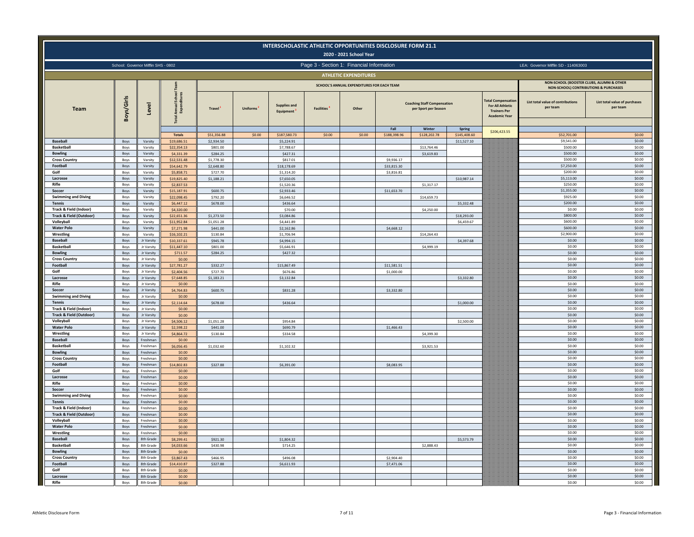|                                                              |                                     |                          |                              |                           |                 |                                  |                   | INTERSCHOLASTIC ATHLETIC OPPORTUNITIES DISCLOSURE FORM 21.1<br>2020 - 2021 School Year |              |                                                            |                             |                                                                                                     |                                                                                               |                                           |
|--------------------------------------------------------------|-------------------------------------|--------------------------|------------------------------|---------------------------|-----------------|----------------------------------|-------------------|----------------------------------------------------------------------------------------|--------------|------------------------------------------------------------|-----------------------------|-----------------------------------------------------------------------------------------------------|-----------------------------------------------------------------------------------------------|-------------------------------------------|
|                                                              | School: Governor Mifflin SHS - 0802 |                          |                              |                           |                 |                                  |                   | Page 3 - Section 1: Financial Information                                              |              |                                                            |                             |                                                                                                     | LEA: Governor Mifflin SD - 114063003                                                          |                                           |
|                                                              |                                     |                          |                              |                           |                 |                                  |                   | <b>ATHLETIC EXPENDITURES</b>                                                           |              |                                                            |                             |                                                                                                     |                                                                                               |                                           |
|                                                              |                                     |                          |                              |                           |                 |                                  |                   | SCHOOL'S ANNUAL EXPENDITURES FOR EACH TEAM                                             |              |                                                            |                             |                                                                                                     | NON-SCHOOL (BOOSTER CLUBS, ALUMNI & OTHER<br><b>NON-SCHOOL) CONTRIBUTIONS &amp; PURCHASES</b> |                                           |
| <b>Team</b>                                                  | Boys/Girls                          | Level                    | Schoo<br>Annual<br>Expend    | Travel <sup>1</sup>       | <b>Uniforms</b> | <b>Supplies and</b><br>Equipment | <b>Facilities</b> | Other                                                                                  |              | <b>Coaching Staff Compensation</b><br>per Sport per Season |                             | <b>Total Compensation</b><br><b>For All Athletic</b><br><b>Trainers Per</b><br><b>Academic Year</b> | List total value of contributions<br>per team                                                 | List total value of purchases<br>per team |
|                                                              |                                     |                          |                              |                           |                 |                                  |                   |                                                                                        | Fall         | Winter                                                     | Spring                      | \$206,423.55                                                                                        |                                                                                               |                                           |
| <b>Baseball</b>                                              | Boys                                | Varsity                  | <b>Totals</b><br>\$19,686.51 | \$51,356.88<br>\$2,934.50 | \$0.00          | \$187,580.73<br>\$5,224.91       | \$0.00            | \$0.00                                                                                 | \$188,398.96 | \$128,202.78                                               | \$145,408.60<br>\$11,527.10 |                                                                                                     | \$52,701.00<br>\$9,541.00                                                                     | \$0.00<br>\$0.00                          |
| <b>Basketball</b>                                            | Boys                                | Varsity                  | \$22,354.13                  | \$801.00                  |                 | \$7,788.67                       |                   |                                                                                        |              | \$13,764.46                                                |                             |                                                                                                     | \$500.00                                                                                      | \$0.00                                    |
| <b>Bowling</b>                                               | Boys                                | Varsity                  | \$4,331.39                   | \$284.25                  |                 | \$427.31                         |                   |                                                                                        |              | \$3,619.83                                                 |                             |                                                                                                     | \$500.00                                                                                      | \$0.00                                    |
| <b>Cross Country</b>                                         | Boys                                | Varsity                  | \$12,531.48                  | \$1,778.30                |                 | \$817.01                         |                   |                                                                                        | \$9,936.17   |                                                            |                             |                                                                                                     | \$500.00                                                                                      | \$0.00                                    |
| Footbal<br>Golf                                              | Boys                                | Varsity<br>Varsity       | \$54,642.79<br>\$5,858.71    | \$2,648.80                |                 | \$18,178.69                      |                   |                                                                                        | \$33,815.30  |                                                            |                             |                                                                                                     | \$7,250.00<br>\$200.00                                                                        | \$0.00<br>\$0.00                          |
| Lacrosse                                                     | Boys<br>Boys                        | Varsity                  | \$19,825.40                  | \$727.70<br>\$1,188.21    |                 | \$1,314.20<br>\$7,650.05         |                   |                                                                                        | \$3,816.81   |                                                            | \$10,987.14                 |                                                                                                     | \$5,113.00                                                                                    | \$0.00                                    |
| Rifle                                                        | Boys                                | Varsity                  | \$2,837.53                   |                           |                 | \$1,520.36                       |                   |                                                                                        |              | \$1,317.17                                                 |                             |                                                                                                     | \$250.00                                                                                      | \$0.00                                    |
| Soccer                                                       | Boys                                | Varsity                  | \$15,187.91                  | \$600.75                  |                 | \$2,933.46                       |                   |                                                                                        | \$11,653.70  |                                                            |                             |                                                                                                     | \$1,355.00                                                                                    | \$0.00                                    |
| <b>Swimming and Diving</b>                                   | Boys                                | Varsity                  | \$22,098.45                  | \$792.20                  |                 | \$6,646.52                       |                   |                                                                                        |              | \$14,659.73                                                |                             |                                                                                                     | \$925.00                                                                                      | \$0.00                                    |
| <b>Tennis</b>                                                | Boys                                | Varsity                  | \$6,447.12                   | \$678.00                  |                 | \$436.64                         |                   |                                                                                        |              |                                                            | \$5,332.48                  |                                                                                                     | \$200.00                                                                                      | \$0.00                                    |
| <b>Track &amp; Field (Indoor)</b><br>Track & Field (Outdoor) | Boys<br>Boys                        | Varsity<br>Varsity       | \$4,320.00<br>\$22,651.36    | \$1,273.50                |                 | \$70.00<br>\$3,084.86            |                   |                                                                                        |              | \$4,250.00                                                 | \$18,293.00                 |                                                                                                     | \$0.00<br>\$800.00                                                                            | \$0.00<br>\$0.00                          |
| Volleyball                                                   | Boys                                | Varsity                  | \$11,952.84                  | \$1,051.28                |                 | \$4,441.89                       |                   |                                                                                        |              |                                                            | \$6,459.67                  |                                                                                                     | \$600.00                                                                                      | \$0.00                                    |
| <b>Water Polo</b>                                            | Boys                                | Varsity                  | \$7,271.98                   | \$441.00                  |                 | \$2,162.86                       |                   |                                                                                        | \$4,668.12   |                                                            |                             |                                                                                                     | \$600.00                                                                                      | \$0.00                                    |
| Wrestling                                                    | Boys                                | Varsity                  | \$16,102.21                  | \$130.84                  |                 | \$1,706.94                       |                   |                                                                                        |              | \$14,264.43                                                |                             |                                                                                                     | \$2,900.00                                                                                    | \$0.00                                    |
| <b>Baseball</b>                                              | Boys                                | Jr Varsity               | \$10,337.61                  | \$945.78                  |                 | \$4,994.15                       |                   |                                                                                        |              |                                                            | \$4,397.68                  |                                                                                                     | \$0.00                                                                                        | \$0.00                                    |
| <b>Basketbal</b>                                             | Boys                                | Jr Varsity               | \$11,447.10                  | \$801.00                  |                 | \$5,646.91                       |                   |                                                                                        |              | \$4,999.19                                                 |                             |                                                                                                     | \$0.00                                                                                        | \$0.00                                    |
| <b>Bowling</b>                                               | Boys                                | Ir Varsity               | \$711.57                     | \$284.25                  |                 | \$427.32                         |                   |                                                                                        |              |                                                            |                             |                                                                                                     | \$0.00<br>\$0.00                                                                              | \$0.00<br>\$0.00                          |
| <b>Cross Country</b><br>Football                             | Boys<br>Boys                        | Jr Varsity<br>Jr Varsity | \$0.00<br>\$27,781.27        | \$332.27                  |                 | \$15,867.49                      |                   |                                                                                        | \$11,581.51  |                                                            |                             |                                                                                                     | \$0.00                                                                                        | \$0.00                                    |
| Golf                                                         | Boys                                | Jr Varsity               | \$2,404.56                   | \$727.70                  |                 | \$676.86                         |                   |                                                                                        | \$1,000.00   |                                                            |                             |                                                                                                     | \$0.00                                                                                        | \$0.00                                    |
| Lacrosse                                                     | Boys                                | Jr Varsity               | \$7,648.85                   | \$1,183.21                |                 | \$3,132.84                       |                   |                                                                                        |              |                                                            | \$3,332.80                  |                                                                                                     | \$0.00                                                                                        | \$0.00                                    |
| Rifle                                                        | Boys                                | Jr Varsity               | \$0.00                       |                           |                 |                                  |                   |                                                                                        |              |                                                            |                             |                                                                                                     | \$0.00                                                                                        | \$0.00                                    |
| Soccer                                                       | Boys                                | Jr Varsity               | \$4,764.83                   | \$600.75                  |                 | \$831.28                         |                   |                                                                                        | \$3,332.80   |                                                            |                             |                                                                                                     | \$0.00                                                                                        | \$0.00                                    |
| <b>Swimming and Diving</b>                                   | Boys                                | Jr Varsity               | \$0.00                       | \$678,00                  |                 | \$436.64                         |                   |                                                                                        |              |                                                            | \$1,000.00                  |                                                                                                     | \$0.00<br>\$0.00                                                                              | \$0.00<br>\$0.00                          |
| <b>Tennis</b><br>Track & Field (Indoor)                      | Boys<br>Boys                        | Jr Varsity<br>Jr Varsity | \$2,114.64<br>\$0.00         |                           |                 |                                  |                   |                                                                                        |              |                                                            |                             |                                                                                                     | \$0.00                                                                                        | \$0.00                                    |
| <b>Track &amp; Field (Outdoor)</b>                           | Boys                                | Jr Varsity               | \$0.00                       |                           |                 |                                  |                   |                                                                                        |              |                                                            |                             |                                                                                                     | \$0.00                                                                                        | \$0.00                                    |
| Volleyball                                                   | Boys                                | Jr Varsity               | \$4,506.12                   | \$1,051.28                |                 | \$954.84                         |                   |                                                                                        |              |                                                            | \$2,500.00                  |                                                                                                     | \$0.00                                                                                        | \$0.00                                    |
| <b>Water Polo</b>                                            | Boys                                | Jr Varsity               | \$2,598.22                   | \$441.00                  |                 | \$690.79                         |                   |                                                                                        | \$1,466.43   |                                                            |                             |                                                                                                     | \$0.00                                                                                        | \$0.00                                    |
| Wrestling                                                    | Boys                                | Jr Varsity               | \$4,864.72                   | \$130.84                  |                 | \$334.58                         |                   |                                                                                        |              | \$4,399.30                                                 |                             |                                                                                                     | \$0.00                                                                                        | \$0.00                                    |
| <b>Baseball</b>                                              | Boys                                | Freshman                 | \$0.00                       |                           |                 |                                  |                   |                                                                                        |              |                                                            |                             |                                                                                                     | \$0.00                                                                                        | \$0.00                                    |
| <b>Basketbal</b>                                             | Boys                                | Freshman                 | \$6,056.45<br>\$0.00         | \$1,032.60                |                 | \$1,102.32                       |                   |                                                                                        |              | \$3,921.53                                                 |                             |                                                                                                     | \$0.00<br>\$0.00                                                                              | \$0.00<br>\$0.00                          |
| <b>Bowling</b><br>Cross Country                              | Boys<br>Boys                        | Freshman<br>Freshman     | \$0.00                       |                           |                 |                                  |                   |                                                                                        |              |                                                            |                             |                                                                                                     | \$0.00                                                                                        | \$0.00                                    |
| Football                                                     | Boys                                | Freshman                 | \$14,802.83                  | \$327.88                  |                 | \$6,391.00                       |                   |                                                                                        | \$8,083.95   |                                                            |                             |                                                                                                     | \$0.00                                                                                        | \$0.00                                    |
| Golf                                                         | Boys                                | Freshman                 | \$0.00                       |                           |                 |                                  |                   |                                                                                        |              |                                                            |                             |                                                                                                     | \$0.00                                                                                        | \$0.00                                    |
| Lacrosse                                                     | Boys                                | Freshman                 | \$0.00                       |                           |                 |                                  |                   |                                                                                        |              |                                                            |                             |                                                                                                     | \$0.00                                                                                        | \$0.00                                    |
| Rifle                                                        | Boys                                | Freshman                 | \$0.00                       |                           |                 |                                  |                   |                                                                                        |              |                                                            |                             |                                                                                                     | \$0.00                                                                                        | \$0.00                                    |
| Soccer                                                       | Boys                                | Freshman<br>Freshman     | \$0.00                       |                           |                 |                                  |                   |                                                                                        |              |                                                            |                             |                                                                                                     | \$0.00<br>\$0.00                                                                              | \$0.00<br>\$0.00                          |
| <b>Swimming and Diving</b><br><b>Tennis</b>                  | Boys<br>Boys                        | Freshman                 | \$0.00<br>\$0.00             |                           |                 |                                  |                   |                                                                                        |              |                                                            |                             |                                                                                                     | \$0.00                                                                                        | \$0.00                                    |
| Track & Field (Indoor)                                       | Boys                                | Freshman                 | \$0.00                       |                           |                 |                                  |                   |                                                                                        |              |                                                            |                             |                                                                                                     | \$0.00                                                                                        | \$0.00                                    |
| Track & Field (Outdoor)                                      | Boys                                | Freshman                 | \$0.00                       |                           |                 |                                  |                   |                                                                                        |              |                                                            |                             |                                                                                                     | \$0.00                                                                                        | \$0.00                                    |
| Volleyball                                                   | Boys                                | Freshman                 | \$0.00                       |                           |                 |                                  |                   |                                                                                        |              |                                                            |                             |                                                                                                     | \$0.00                                                                                        | \$0.00                                    |
| <b>Water Polo</b>                                            | Boys                                | Freshman                 | \$0.00                       |                           |                 |                                  |                   |                                                                                        |              |                                                            |                             |                                                                                                     | \$0.00                                                                                        | \$0.00                                    |
| Wrestling<br><b>Baseball</b>                                 | Boys                                | Freshman                 | \$0.00                       |                           |                 |                                  |                   |                                                                                        |              |                                                            |                             |                                                                                                     | \$0.00<br>\$0.00                                                                              | \$0.00<br>\$0.00                          |
| <b>Basketball</b>                                            | Boys                                | 8th Grade<br>8th Grade   | \$8,299.41<br>\$4,033.66     | \$921.30                  |                 | \$1,804.32                       |                   |                                                                                        |              |                                                            | \$5,573.79                  |                                                                                                     | \$0.00                                                                                        | \$0.00                                    |
| <b>Bowling</b>                                               | Boys<br>Boys                        | 8th Grade                | \$0.00                       | \$430.98                  |                 | \$714.25                         |                   |                                                                                        |              | \$2,888.43                                                 |                             |                                                                                                     | \$0.00                                                                                        | \$0.00                                    |
| <b>Cross Country</b>                                         | Boys                                | 8th Grade                | \$3,867.43                   | \$466.95                  |                 | \$496.08                         |                   |                                                                                        | \$2,904.40   |                                                            |                             |                                                                                                     | \$0.00                                                                                        | \$0.00                                    |
| Football                                                     | Boys                                | 8th Grade                | \$14,410.87                  | \$327.88                  |                 | \$6,611.93                       |                   |                                                                                        | \$7,471.06   |                                                            |                             |                                                                                                     | \$0.00                                                                                        | \$0.00                                    |
| Golf                                                         | Boys                                | 8th Grade                | \$0.00                       |                           |                 |                                  |                   |                                                                                        |              |                                                            |                             |                                                                                                     | \$0.00                                                                                        | \$0.00                                    |
| Lacrosse                                                     | Boys                                | 8th Grade                | \$0.00                       |                           |                 |                                  |                   |                                                                                        |              |                                                            |                             |                                                                                                     | \$0.00                                                                                        | \$0.00                                    |
| Rifle                                                        | Boys                                | 8th Grade                | \$0.00                       |                           |                 |                                  |                   |                                                                                        |              |                                                            |                             |                                                                                                     | \$0.00                                                                                        | \$0.00                                    |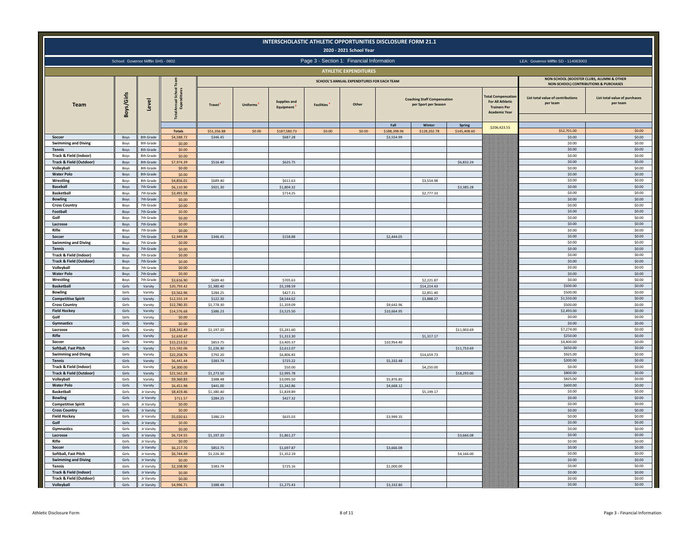|                                                  |                                     |                                 |                            |                        |          |                                  | INTERSCHOLASTIC ATHLETIC OPPORTUNITIES DISCLOSURE FORM 21.1 | 2020 - 2021 School Year                    |                      |                                                            |                        |                                                                                            |                                                                                    |                                           |
|--------------------------------------------------|-------------------------------------|---------------------------------|----------------------------|------------------------|----------|----------------------------------|-------------------------------------------------------------|--------------------------------------------|----------------------|------------------------------------------------------------|------------------------|--------------------------------------------------------------------------------------------|------------------------------------------------------------------------------------|-------------------------------------------|
|                                                  | School: Governor Mifflin SHS - 0802 |                                 |                            |                        |          |                                  | Page 3 - Section 1: Financial Information                   |                                            |                      |                                                            |                        |                                                                                            | LEA: Governor Mifflin SD - 114063003                                               |                                           |
|                                                  |                                     |                                 |                            |                        |          |                                  |                                                             | <b>ATHLETIC EXPENDITURES</b>               |                      |                                                            |                        |                                                                                            |                                                                                    |                                           |
|                                                  |                                     |                                 |                            |                        |          |                                  |                                                             | SCHOOL'S ANNUAL EXPENDITURES FOR EACH TEAM |                      |                                                            |                        |                                                                                            | NON-SCHOOL (BOOSTER CLUBS, ALUMNI & OTHER<br>NON-SCHOOL) CONTRIBUTIONS & PURCHASES |                                           |
| Team                                             | Boys/Girls                          | Level                           | ınnual<br>Expen            | Travel <sup>1</sup>    | Uniforms | <b>Supplies and</b><br>Equipment | <b>Facilities</b>                                           | Other                                      |                      | <b>Coaching Staff Compensation</b><br>per Sport per Season |                        | otal Compensatio<br><b>For All Athletic</b><br><b>Trainers Per</b><br><b>Academic Year</b> | List total value of contributions<br>per team                                      | List total value of purchases<br>per team |
|                                                  |                                     |                                 | <b>Totals</b>              | \$51,356.88            | \$0.00   | \$187,580.73                     | \$0.00                                                      | \$0.00                                     | Fall<br>\$188,398.96 | Winter<br>\$128,202.78                                     | Spring<br>\$145,408.60 | \$206,423.55                                                                               | \$52,701.00                                                                        | \$0.00                                    |
| Soccer                                           | Boys                                | 8th Grade                       | \$4,588.72                 | \$346.45               |          | \$687.28                         |                                                             |                                            | \$3,554.99           |                                                            |                        |                                                                                            | \$0.00                                                                             | \$0.00                                    |
| <b>Swimming and Diving</b>                       | Boys                                | 8th Grade                       | \$0.00                     |                        |          |                                  |                                                             |                                            |                      |                                                            |                        |                                                                                            | \$0.00                                                                             | \$0.00                                    |
| Tennis<br>Track & Field (Indoor)                 | Boys<br>Boys                        | 8th Grade<br>8th Grade          | \$0.00<br>\$0.00           |                        |          |                                  |                                                             |                                            |                      |                                                            |                        |                                                                                            | \$0.00<br>\$0.00                                                                   | \$0.00<br>\$0.00                          |
| <b>Track &amp; Field (Outdoor)</b>               | Boys                                | 8th Grade                       | \$7,974.39                 | \$516.40               |          | \$625.75                         |                                                             |                                            |                      |                                                            | \$6,832.24             |                                                                                            | \$0.00                                                                             | \$0.00                                    |
| Volleyball                                       | Boys                                | 8th Grade                       | \$0.00                     |                        |          |                                  |                                                             |                                            |                      |                                                            |                        |                                                                                            | \$0.00                                                                             | \$0.00                                    |
| <b>Water Polo</b><br>Wrestling                   | Boys<br>Boys                        | 8th Grade<br>8th Grad           | \$0.00<br>\$4,856.01       | \$689.40               |          | \$611.63                         |                                                             |                                            |                      | \$3,554.98                                                 |                        |                                                                                            | \$0.00<br>\$0.00                                                                   | \$0.00<br>\$0.00                          |
| <b>Baseball</b>                                  | Boys                                | 7th Grade                       | \$6,110.90                 | \$921.30               |          | \$1,804.32                       |                                                             |                                            |                      |                                                            | \$3,385.28             |                                                                                            | \$0.00                                                                             | \$0.00                                    |
| <b>Basketball</b>                                | Boys                                | 7th Grad                        | \$3,491.58                 |                        |          | \$714.25                         |                                                             |                                            |                      | \$2,777.33                                                 |                        |                                                                                            | \$0.00                                                                             | \$0.00                                    |
| <b>Bowling</b>                                   | Boys                                | 7th Grade                       | \$0.00                     |                        |          |                                  |                                                             |                                            |                      |                                                            |                        |                                                                                            | \$0.00                                                                             | \$0.00                                    |
| <b>Cross Country</b>                             | Boys                                | 7th Grade                       | \$0.00                     |                        |          |                                  |                                                             |                                            |                      |                                                            |                        |                                                                                            | \$0.00                                                                             | \$0.00                                    |
| Football<br>Golf                                 | Boys<br>Boys                        | 7th Grade<br>7th Grade          | \$0.00<br>\$0.00           |                        |          |                                  |                                                             |                                            |                      |                                                            |                        |                                                                                            | \$0.00<br>\$0.00                                                                   | \$0.00<br>\$0.00                          |
| Lacrosse                                         | Boys                                | 7th Grade                       | \$0.00                     |                        |          |                                  |                                                             |                                            |                      |                                                            |                        |                                                                                            | 50.00                                                                              | \$0.00                                    |
| Rifle                                            | Boys                                | 7th Grade                       | \$0.00                     |                        |          |                                  |                                                             |                                            |                      |                                                            |                        |                                                                                            | \$0.00                                                                             | \$0.00                                    |
| Soccer                                           | Boys                                | 7th Grade                       | \$2,949.38                 | \$346.45               |          | \$158.88                         |                                                             |                                            | \$2,444.05           |                                                            |                        |                                                                                            | \$0.00                                                                             | \$0.00                                    |
| <b>Swimming and Diving</b><br><b>Tennis</b>      | Boys<br>Boys                        | 7th Grade<br>7th Grade          | \$0.00<br>\$0.00           |                        |          |                                  |                                                             |                                            |                      |                                                            |                        |                                                                                            | \$0.00<br>\$0.00                                                                   | \$0.00<br>\$0.00                          |
| Track & Field (Indoor)                           | Boys                                | 7th Grade                       | \$0.00                     |                        |          |                                  |                                                             |                                            |                      |                                                            |                        |                                                                                            | \$0.00                                                                             | \$0.00                                    |
| <b>Track &amp; Field (Outdoor)</b>               | Boys                                | 7th Grade                       | \$0.00                     |                        |          |                                  |                                                             |                                            |                      |                                                            |                        |                                                                                            | \$0.00                                                                             | \$0.00                                    |
| Volleyball                                       | Boys                                | 7th Grade                       | \$0.00                     |                        |          |                                  |                                                             |                                            |                      |                                                            |                        |                                                                                            | \$0.00                                                                             | \$0.00                                    |
| <b>Water Polo</b><br>Wrestling                   | Boys                                | 7th Grade                       | \$0.00                     |                        |          |                                  |                                                             |                                            |                      |                                                            |                        |                                                                                            | \$0.00<br>\$0.00                                                                   | \$0.00<br>\$0.00                          |
| <b>Basketball</b>                                | Boys<br>Girls                       | 7th Grade<br>Varsity            | \$3,616.90<br>\$20,793.42  | \$689.40<br>\$1,380.40 |          | \$705.63<br>\$5,198.59           |                                                             |                                            |                      | \$2,221.87<br>\$14,214.43                                  |                        |                                                                                            | \$500.00                                                                           | \$0.00                                    |
| <b>Bowling</b>                                   | Girls                               | Varsity                         | \$3,562.96                 | \$284.25               |          | \$427.31                         |                                                             |                                            |                      | \$2,851.40                                                 |                        |                                                                                            | \$500.00                                                                           | \$0.00                                    |
| <b>Competitive Spirit</b>                        | Girls                               | Varsity                         | \$12,555.19                | \$122.30               |          | \$8,544.62                       |                                                             |                                            |                      | \$3,888.27                                                 |                        |                                                                                            | \$1,550.00                                                                         | \$0.00                                    |
| <b>Cross Country</b>                             | Girls                               | Varsity                         | \$12,780.35                | \$1,778.30             |          | \$1,359.09                       |                                                             |                                            | \$9,642.96           |                                                            |                        |                                                                                            | \$500.00                                                                           | \$0.00                                    |
| <b>Field Hockey</b><br>Golf                      | Girls<br>Girls                      | Varsity<br>Varsity              | \$14,576.68<br>\$0.00      | \$386.23               |          | \$3,525.50                       |                                                             |                                            | \$10,664.95          |                                                            |                        |                                                                                            | \$2,493.00<br>\$0.00                                                               | \$0.00<br>\$0.00                          |
| Gymnastics                                       | Girls                               | Varsity                         | \$0.00                     |                        |          |                                  |                                                             |                                            |                      |                                                            |                        |                                                                                            | \$0.00                                                                             | \$0.00                                    |
| Lacrosse                                         | Girls                               | Varsity                         | \$18,342.49                | \$1,197.20             |          | \$5,241.60                       |                                                             |                                            |                      |                                                            | \$11,903.69            |                                                                                            | \$7,274.00                                                                         | \$0.00                                    |
| Rifle                                            | Girls                               | Varsity                         | \$2,630.47                 |                        |          | \$1,313.30                       |                                                             |                                            |                      | \$1,317.17                                                 |                        |                                                                                            | \$250.00                                                                           | \$0.00                                    |
| Soccer<br>Softball, Fast Pitch                   | Girls<br>Girls                      | Varsity<br>Varsity              | \$15,213.52<br>\$15,592.06 | \$853.75<br>\$1,226.30 |          | \$3,405.37<br>\$2,612.07         |                                                             |                                            | \$10,954.40          |                                                            | \$11,753.69            |                                                                                            | \$4,400.00<br>\$650.00                                                             | \$0.00<br>\$0.00                          |
| <b>Swimming and Diving</b>                       | Girls                               | Varsity                         | \$22,258.76                | \$792.20               |          | \$6,806.83                       |                                                             |                                            |                      | \$14,659.73                                                |                        |                                                                                            | \$925.00                                                                           | \$0.00                                    |
| <b>Tennis</b>                                    | Girls                               | Varsity                         | \$6,441.44                 | \$383.74               |          | \$725.22                         |                                                             |                                            | \$5,332.48           |                                                            |                        |                                                                                            | \$200.00                                                                           | \$0.00                                    |
| Track & Field (Indoor)                           | Girls                               | Varsity                         | 54,300,00                  |                        |          | \$50.00                          |                                                             |                                            |                      | \$4,250.00                                                 |                        |                                                                                            | \$0.00                                                                             | \$0.00                                    |
| <b>Track &amp; Field (Outdoor)</b><br>Volleyball | Girls<br>Girls                      | Varsity<br>Varsity              | \$2255228<br>\$9,360.83    | \$1,273.50<br>\$388.48 |          | \$2,995.78<br>\$3,095.50         |                                                             |                                            | \$5,876.85           |                                                            | \$18,293.00            |                                                                                            | \$800.00<br>\$825.00                                                               | \$0.00<br>\$0.00                          |
| <b>Water Polo</b>                                | Girls                               | Varsity                         | \$6,451.98                 | \$441.00               |          | \$1,342.86                       |                                                             |                                            | \$4,668.12           |                                                            |                        |                                                                                            | \$600.00                                                                           | \$0.00                                    |
| <b>Basketball</b>                                | Girls                               | Jr Varsity                      | \$8,419.46                 | \$1,380.40             |          | \$1,839.89                       |                                                             |                                            |                      | \$5,199.17                                                 |                        |                                                                                            | \$0.00                                                                             | \$0.00                                    |
| <b>Bowling</b>                                   | Girls                               | Jr Varsity                      | \$711.57                   | \$284.25               |          | \$427.32                         |                                                             |                                            |                      |                                                            |                        |                                                                                            | 50.00                                                                              | \$0.00                                    |
| <b>Competitive Spirit</b>                        | Girls                               | Jr Varsity                      | \$0.00                     |                        |          |                                  |                                                             |                                            |                      |                                                            |                        |                                                                                            | \$0.00                                                                             | \$0.00                                    |
| <b>Cross Country</b><br><b>Field Hockey</b>      | Girls<br>Girls                      | Jr Varsity<br>Jr Varsity        | \$0.00<br>\$5,020.61       | \$386.23               |          | \$635.03                         |                                                             |                                            | \$3,999.35           |                                                            |                        |                                                                                            | \$0.00<br>\$0.00                                                                   | \$0.00<br>\$0.00                          |
| Golf                                             | Girls                               | Jr Varsity                      | \$0.00                     |                        |          |                                  |                                                             |                                            |                      |                                                            |                        |                                                                                            | \$0.00                                                                             | \$0.00                                    |
| Gymnastics                                       | Girls                               | Jr Varsity                      | \$0.00                     |                        |          |                                  |                                                             |                                            |                      |                                                            |                        |                                                                                            | \$0.00                                                                             | \$0.00                                    |
| Lacrosse                                         | Girls                               | Jr Varsity                      | \$6,724.55                 | \$1,197.20             |          | \$1,861.27                       |                                                             |                                            |                      |                                                            | \$3,666.08             |                                                                                            | \$0.00                                                                             | \$0.00                                    |
| Rifle<br>Soccer                                  | Girls<br>Girls                      | Jr Varsity<br><b>Ir Varsity</b> | \$0.00<br>\$6,217.70       | \$853.75               |          | \$1,697.87                       |                                                             |                                            | \$3,666.08           |                                                            |                        |                                                                                            | \$0.00<br>\$0.00                                                                   | \$0.00<br>\$0.00                          |
| Softball, Fast Pitch                             | Girls                               | Jr Varsity                      | \$6,744.49                 | \$1,226.30             |          | \$1,352.19                       |                                                             |                                            |                      |                                                            | \$4,166.00             |                                                                                            | \$0.00                                                                             | \$0.00                                    |
| <b>Swimming and Diving</b>                       | Girls                               | Jr Varsity                      | \$0.00                     |                        |          |                                  |                                                             |                                            |                      |                                                            |                        |                                                                                            | \$0.00                                                                             | \$0.00                                    |
| <b>Tennis</b>                                    | Girls                               | Jr Varsity                      | \$2,108.90                 | \$383.74               |          | \$725.16                         |                                                             |                                            | \$1,000.00           |                                                            |                        |                                                                                            | \$0.00                                                                             | \$0.00                                    |
| Track & Field (Indoor)                           | Girls                               | Jr Varsity                      | \$0.00                     |                        |          |                                  |                                                             |                                            |                      |                                                            |                        |                                                                                            | \$0.00                                                                             | \$0.00                                    |
| Track & Field (Outdoor)                          | Girls                               | Jr Varsity                      | \$0.00                     |                        |          |                                  |                                                             |                                            |                      |                                                            |                        |                                                                                            | \$0.00                                                                             | \$0.00<br>\$0.00                          |
| Volleyball                                       | Girls                               | Jr Varsity                      | \$4,996.71                 | \$388.48               |          | \$1,275.43                       |                                                             |                                            | \$3,332.80           |                                                            |                        |                                                                                            | \$0.00                                                                             |                                           |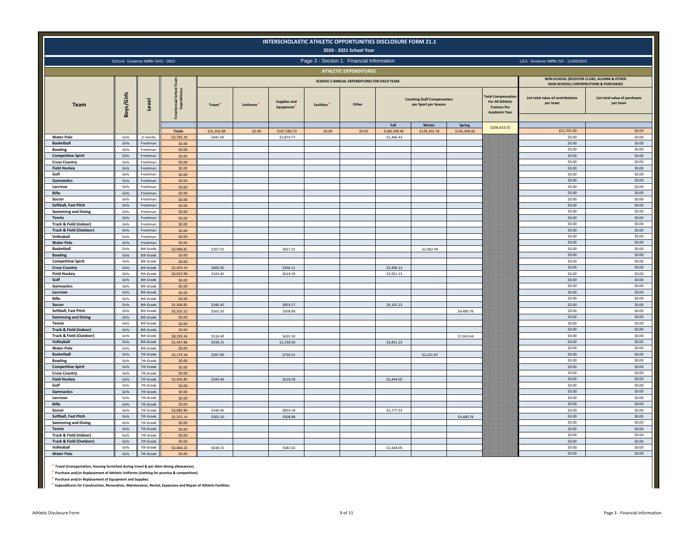|                                                   |                                     |                        |                             |                         |                 |                                               |                   | INTERSCHOLASTIC ATHLETIC OPPORTUNITIES DISCLOSURE FORM 21.1<br>2020 - 2021 School Year |                            |                                                            |              |                                                                                                    |                                               |                                           |
|---------------------------------------------------|-------------------------------------|------------------------|-----------------------------|-------------------------|-----------------|-----------------------------------------------|-------------------|----------------------------------------------------------------------------------------|----------------------------|------------------------------------------------------------|--------------|----------------------------------------------------------------------------------------------------|-----------------------------------------------|-------------------------------------------|
|                                                   | School: Governor Mifflin SHS - 0802 |                        |                             |                         |                 |                                               |                   | Page 3 - Section 1: Financial Information                                              |                            |                                                            |              |                                                                                                    | LEA: Governor Mifflin SD - 114063003          |                                           |
|                                                   |                                     |                        |                             |                         |                 |                                               |                   | <b>ATHLETIC EXPENDITURES</b>                                                           |                            |                                                            |              |                                                                                                    |                                               |                                           |
|                                                   |                                     |                        |                             |                         |                 |                                               |                   |                                                                                        |                            |                                                            |              |                                                                                                    | NON-SCHOOL (BOOSTER CLUBS, ALUMNI & OTHER     |                                           |
|                                                   |                                     |                        |                             |                         |                 |                                               |                   | SCHOOL'S ANNUAL EXPENDITURES FOR EACH TEAM                                             |                            |                                                            |              |                                                                                                    | NON-SCHOOL) CONTRIBUTIONS & PURCHASES         |                                           |
| <b>Team</b>                                       | Boys/Girls                          | Level                  | Sch<br>ann<br>Exp           | Travel                  | <b>Uniforms</b> | <b>Supplies and</b><br>Equipment <sup>3</sup> | <b>Facilities</b> | Other                                                                                  |                            | <b>Coaching Staff Compensation</b><br>per Sport per Season |              | <b>Total Compensatio</b><br><b>For All Athletic</b><br><b>Trainers Per</b><br><b>Academic Year</b> | List total value of contributions<br>per team | List total value of purchases<br>per team |
|                                                   |                                     |                        |                             |                         |                 |                                               |                   |                                                                                        | Fall                       | Winter                                                     | Spring       | \$206,423.55                                                                                       |                                               |                                           |
| <b>Water Polo</b>                                 | Girls                               | Jr Varsity             | <b>Totals</b><br>\$3,782.20 | \$51,356.88<br>\$441.00 | 50.00           | \$187,580.73<br>\$1,874.77                    | \$0.00            | \$0.00                                                                                 | \$188,398.96<br>\$1,466.43 | \$128,202.78                                               | \$145,408.60 |                                                                                                    | \$52,701.00<br>\$0.00                         | \$0.00<br>\$0.00                          |
| <b>Basketball</b>                                 | Girls                               | Freshman               | \$0.00                      |                         |                 |                                               |                   |                                                                                        |                            |                                                            |              |                                                                                                    | \$0.00                                        | \$0.00                                    |
| <b>Bowling</b>                                    | Girls                               | Freshman               | \$0.00                      |                         |                 |                                               |                   |                                                                                        |                            |                                                            |              |                                                                                                    | \$0.00                                        | \$0.00                                    |
| <b>Competitive Spirit</b>                         | Girls                               | Freshmar               | \$0.00                      |                         |                 |                                               |                   |                                                                                        |                            |                                                            |              |                                                                                                    | \$0.00                                        | \$0.00                                    |
| <b>Cross Country</b>                              | Girls                               | Freshma                | \$0.00                      |                         |                 |                                               |                   |                                                                                        |                            |                                                            |              |                                                                                                    | \$0.00                                        | \$0.00                                    |
| <b>Field Hockey</b>                               | Girls                               | Freshmar               | \$0.00                      |                         |                 |                                               |                   |                                                                                        |                            |                                                            |              |                                                                                                    | \$0.00                                        | \$0.00                                    |
| Golf<br>Gymnastics                                | Girls<br>Girls                      | Freshmar<br>Freshman   | \$0.00<br>\$0.00            |                         |                 |                                               |                   |                                                                                        |                            |                                                            |              |                                                                                                    | \$0.00<br>\$0.00                              | \$0.00<br>\$0.00                          |
| Lacrosse                                          | Girls                               | Freshman               | \$0.00                      |                         |                 |                                               |                   |                                                                                        |                            |                                                            |              |                                                                                                    | \$0.00                                        | \$0.00                                    |
| Rifle                                             | Girls                               | Freshman               | \$0.00                      |                         |                 |                                               |                   |                                                                                        |                            |                                                            |              |                                                                                                    | \$0.00                                        | \$0.00                                    |
| Soccer                                            | Girls                               | Freshmar               | \$0.00                      |                         |                 |                                               |                   |                                                                                        |                            |                                                            |              |                                                                                                    | \$0.00                                        | \$0.00                                    |
| Softball, Fast Pitch                              | Girls                               | Freshma                | \$0.00                      |                         |                 |                                               |                   |                                                                                        |                            |                                                            |              |                                                                                                    | \$0.00                                        | \$0.00                                    |
| <b>Swimming and Diving</b>                        | Girls                               | Freshmar               | \$0.00                      |                         |                 |                                               |                   |                                                                                        |                            |                                                            |              |                                                                                                    | \$0.00                                        | \$0.00                                    |
| <b>Tennis</b><br>Track & Field (Indoor)           | Girls<br>Girls                      | Freshman<br>Freshman   | \$0.00<br>\$0.00            |                         |                 |                                               |                   |                                                                                        |                            |                                                            |              |                                                                                                    | \$0.00<br>\$0.00                              | \$0.00<br>\$0.00                          |
| <b>Track &amp; Field (Outdoor)</b>                | Girls                               | Freshmar               | \$0.00                      |                         |                 |                                               |                   |                                                                                        |                            |                                                            |              |                                                                                                    | \$0.00                                        | \$0.00                                    |
| Volleyball                                        | Girls                               | Freshma                | \$0.00                      |                         |                 |                                               |                   |                                                                                        |                            |                                                            |              |                                                                                                    | \$0.00                                        | \$0.00                                    |
| <b>Water Polo</b>                                 | Girls                               | Freshman               | \$0.00                      |                         |                 |                                               |                   |                                                                                        |                            |                                                            |              |                                                                                                    | \$0.00                                        | \$0.00                                    |
| <b>Basketball</b>                                 | Girls                               | 8th Grade              | \$3,996.81                  | \$207.01                |                 | \$827.31                                      |                   |                                                                                        |                            | \$2,962.49                                                 |              |                                                                                                    | \$0.00                                        | \$0.00                                    |
| <b>Bowling</b>                                    | Girls                               | <b>8th Grade</b>       | \$0.00                      |                         |                 |                                               |                   |                                                                                        |                            |                                                            |              |                                                                                                    | \$0.00                                        | \$0.00                                    |
| <b>Competitive Spirit</b><br><b>Cross Country</b> | Girls<br>Girls                      | 8th Grade<br>8th Grade | \$0.00<br>\$3,459.19        | \$466.95                |                 | \$496.11                                      |                   |                                                                                        | \$2,496.13                 |                                                            |              |                                                                                                    | \$0.00<br>\$0.00                              | \$0.00<br>\$0.00                          |
| <b>Field Hockey</b>                               | Girls                               | <b>8th Grade</b>       | \$4,912.98                  | \$343.46                |                 | \$618.29                                      |                   |                                                                                        | \$3,951.23                 |                                                            |              |                                                                                                    | \$0.00                                        | \$0.00                                    |
| Golf                                              | Girls                               | 8th Grade              | \$0.00                      |                         |                 |                                               |                   |                                                                                        |                            |                                                            |              |                                                                                                    | \$0.00                                        | \$0.00                                    |
| Gymnastics                                        | Girls                               | 8th Grade              | \$0.00                      |                         |                 |                                               |                   |                                                                                        |                            |                                                            |              |                                                                                                    | \$0.00                                        | \$0.00                                    |
| Lacrosse                                          | Girls                               | 8th Grade              | \$0.00                      |                         |                 |                                               |                   |                                                                                        |                            |                                                            |              |                                                                                                    | \$0.00                                        | \$0.00                                    |
| Rifle<br>Soccer                                   | Girls<br>Girls                      | 8th Grade<br>8th Grade | \$0.00<br>\$5,306.85        | \$346.45                |                 | \$859.17                                      |                   |                                                                                        | \$4,101.23                 |                                                            |              |                                                                                                    | \$0.00<br>\$0.00                              | \$0.00<br>\$0.00                          |
| Softball, Fast Pitch                              | Girls                               | <b>8th Grade</b>       | \$5,555.15                  | \$565.50                |                 | \$508.89                                      |                   |                                                                                        |                            |                                                            | \$4,480.76   |                                                                                                    | \$0.00                                        | \$0.00                                    |
| <b>Swimming and Diving</b>                        | Girls                               | 8th Grade              | \$0.00                      |                         |                 |                                               |                   |                                                                                        |                            |                                                            |              |                                                                                                    | \$0.00                                        | \$0.00                                    |
| <b>Tennis</b>                                     | Girls                               | 8th Grade              | \$0.00                      |                         |                 |                                               |                   |                                                                                        |                            |                                                            |              |                                                                                                    | \$0.00                                        | \$0.00                                    |
| <b>Track &amp; Field (Indoor)</b>                 | Girls                               | 8th Grade              | \$0.00                      |                         |                 |                                               |                   |                                                                                        |                            |                                                            |              |                                                                                                    | \$0.00                                        | \$0.00                                    |
| <b>Track &amp; Field (Outdoor)</b>                | Girls                               | 8th Grade              | \$8,195.34                  | \$516.40                |                 | \$635.50                                      |                   |                                                                                        |                            |                                                            | \$7,043.44   |                                                                                                    | \$0.00                                        | \$0.00                                    |
| Volleyball<br><b>Water Polo</b>                   | Girls<br>Girls                      | 8th Grade<br>8th Grade | \$5,447.88<br>\$0.00        | \$438.15                |                 | \$1,158.50                                    |                   |                                                                                        | \$3,851.23                 |                                                            |              |                                                                                                    | \$0.00<br>\$0.00                              | \$0.00<br>\$0.00                          |
| <b>Basketball</b>                                 | Girls                               | 7th Grade              | \$3,179.18                  | \$207.00                |                 | \$750.31                                      |                   |                                                                                        |                            | \$2,221.87                                                 |              |                                                                                                    | \$0.00                                        | \$0.00                                    |
| <b>Bowling</b>                                    | Girls                               | 7th Grade              | \$0.00                      |                         |                 |                                               |                   |                                                                                        |                            |                                                            |              |                                                                                                    | \$0.00                                        | \$0.00                                    |
| <b>Competitive Spirit</b>                         | Girls                               | 7th Grade              | \$0.00                      |                         |                 |                                               |                   |                                                                                        |                            |                                                            |              |                                                                                                    | \$0.00                                        | \$0.00                                    |
| <b>Cross Country</b>                              | Girls                               | 7th Grade              | \$0.00                      |                         |                 |                                               |                   |                                                                                        |                            |                                                            |              |                                                                                                    | \$0.00                                        | \$0.00                                    |
| <b>Field Hockey</b>                               | Girls                               | 7th Grade              | \$3,405,80                  | \$343.46                |                 | \$618.29                                      |                   |                                                                                        | \$2,444.05                 |                                                            |              |                                                                                                    | \$0.00<br>\$0.00                              | \$0.00<br>\$0.00                          |
| Golf<br>Gymnastics                                | Girls<br>Girls                      | 7th Grade<br>7th Grade | \$0.00<br>\$0.00            |                         |                 |                                               |                   |                                                                                        |                            |                                                            |              |                                                                                                    | \$0.00                                        | \$0.00                                    |
| Lacrosse                                          | Girls                               | 7th Grade              | \$0.00                      |                         |                 |                                               |                   |                                                                                        |                            |                                                            |              |                                                                                                    | \$0.00                                        | \$0.00                                    |
| Rifle                                             | Girls                               | 7th Grade              | \$0.00                      |                         |                 |                                               |                   |                                                                                        |                            |                                                            |              |                                                                                                    | \$0.00                                        | \$0.00                                    |
| Soccer                                            | Girls                               | 7th Grade              | \$3,982.96                  | \$346.45                |                 | \$859.18                                      |                   |                                                                                        | \$2,777.33                 |                                                            |              |                                                                                                    | \$0.00                                        | \$0.00                                    |
| Softball, Fast Pitch                              | Girls                               | 7th Grade              | \$5,555.14                  | \$565.50                |                 | \$508.88                                      |                   |                                                                                        |                            |                                                            | \$4,480.76   |                                                                                                    | \$0.00                                        | \$0.00                                    |
| <b>Swimming and Diving</b>                        | Girls                               | 7th Grade              | \$0.00                      |                         |                 |                                               |                   |                                                                                        |                            |                                                            |              |                                                                                                    | \$0.00                                        | \$0.00                                    |
| <b>Tennis</b><br>Track & Field (Indoor)           | Girls<br>Girls                      | 7th Grade<br>7th Grade | \$0.00                      |                         |                 |                                               |                   |                                                                                        |                            |                                                            |              |                                                                                                    | \$0.00<br>\$0.00                              | \$0.00<br>\$0.00                          |
| <b>Track &amp; Field (Outdoor)</b>                | Girls                               | 7th Grade              | \$0.00<br>\$0.00            |                         |                 |                                               |                   |                                                                                        |                            |                                                            |              |                                                                                                    | \$0.00                                        | \$0.00                                    |
| Volleyball                                        | Girls                               | 7th Grade              | \$3,464.22                  | \$438.15                |                 | \$582.02                                      |                   |                                                                                        | \$2,444.05                 |                                                            |              |                                                                                                    | \$0.00                                        | \$0.00                                    |
| <b>Water Polo</b>                                 | Girls                               | 7th Grade              | \$0.00                      |                         |                 |                                               |                   |                                                                                        |                            |                                                            |              |                                                                                                    | \$0.00                                        | \$0.00                                    |
|                                                   |                                     |                        |                             |                         |                 |                                               |                   |                                                                                        |                            |                                                            |              |                                                                                                    |                                               |                                           |

**1 Travel (transportation, housing furnished during travel & per diem dining allowances).**

**2 Purchase and/or Replacement of Athletic Uniforms (clothing for practice & competition).**

**3 Purchase and/or Replacement of Equipment and Supplies.**

**4 Expenditures for Construction, Renovation, Maintenance, Rental, Expansion and Repair of Athletic Facilities.**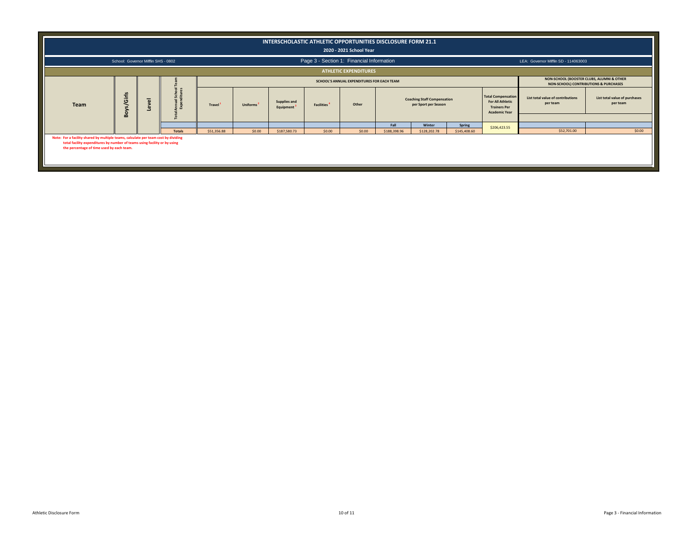|                                                                                                                                                                                                              |                                     |                     |                   |               |                       | INTERSCHOLASTIC ATHLETIC OPPORTUNITIES DISCLOSURE FORM 21.1 |                   | 2020 - 2021 School Year                    |              |                                                            |              |                                                                                                     |                                                                                    |                                           |
|--------------------------------------------------------------------------------------------------------------------------------------------------------------------------------------------------------------|-------------------------------------|---------------------|-------------------|---------------|-----------------------|-------------------------------------------------------------|-------------------|--------------------------------------------|--------------|------------------------------------------------------------|--------------|-----------------------------------------------------------------------------------------------------|------------------------------------------------------------------------------------|-------------------------------------------|
|                                                                                                                                                                                                              | School: Governor Mifflin SHS - 0802 |                     |                   |               |                       |                                                             |                   | Page 3 - Section 1: Financial Information  |              |                                                            |              |                                                                                                     | LEA: Governor Mifflin SD - 114063003                                               |                                           |
|                                                                                                                                                                                                              |                                     |                     |                   |               |                       |                                                             |                   | <b>ATHLETIC EXPENDITURES</b>               |              |                                                            |              |                                                                                                     |                                                                                    |                                           |
|                                                                                                                                                                                                              |                                     |                     |                   |               |                       |                                                             |                   | SCHOOL'S ANNUAL EXPENDITURES FOR EACH TEAM |              |                                                            |              |                                                                                                     | NON-SCHOOL (BOOSTER CLUBS, ALUMNI & OTHER<br>NON-SCHOOL) CONTRIBUTIONS & PURCHASES |                                           |
| Team                                                                                                                                                                                                         | s/Girls<br>Boy:                     | $\overline{\omega}$ | 5a<br>$rac{1}{2}$ | <b>Travel</b> | Uniforms <sup>2</sup> | Supplies and<br>Equipment <sup>3</sup>                      | <b>Facilities</b> | Other                                      |              | <b>Coaching Staff Compensation</b><br>per Sport per Season |              | <b>Total Compensation</b><br><b>For All Athletic</b><br><b>Trainers Per</b><br><b>Academic Year</b> | List total value of contributions<br>per team                                      | List total value of purchases<br>per team |
|                                                                                                                                                                                                              |                                     |                     |                   |               |                       |                                                             |                   |                                            | Fall         | Winter                                                     | Spring       |                                                                                                     |                                                                                    |                                           |
|                                                                                                                                                                                                              |                                     |                     | <b>Totals</b>     | \$51,356.88   | \$0.00                | \$187,580.73                                                | \$0.00            | \$0.00                                     | \$188,398.96 | \$128,202.78                                               | \$145,408.60 | \$206,423.55                                                                                        | \$52,701.00                                                                        | \$0.00                                    |
| Note: For a facility shared by multiple teams, calculate per team cost by dividing<br>total facility expenditures by number of teams using facility or by using<br>the percentage of time used by each team. |                                     |                     |                   |               |                       |                                                             |                   |                                            |              |                                                            |              |                                                                                                     |                                                                                    |                                           |